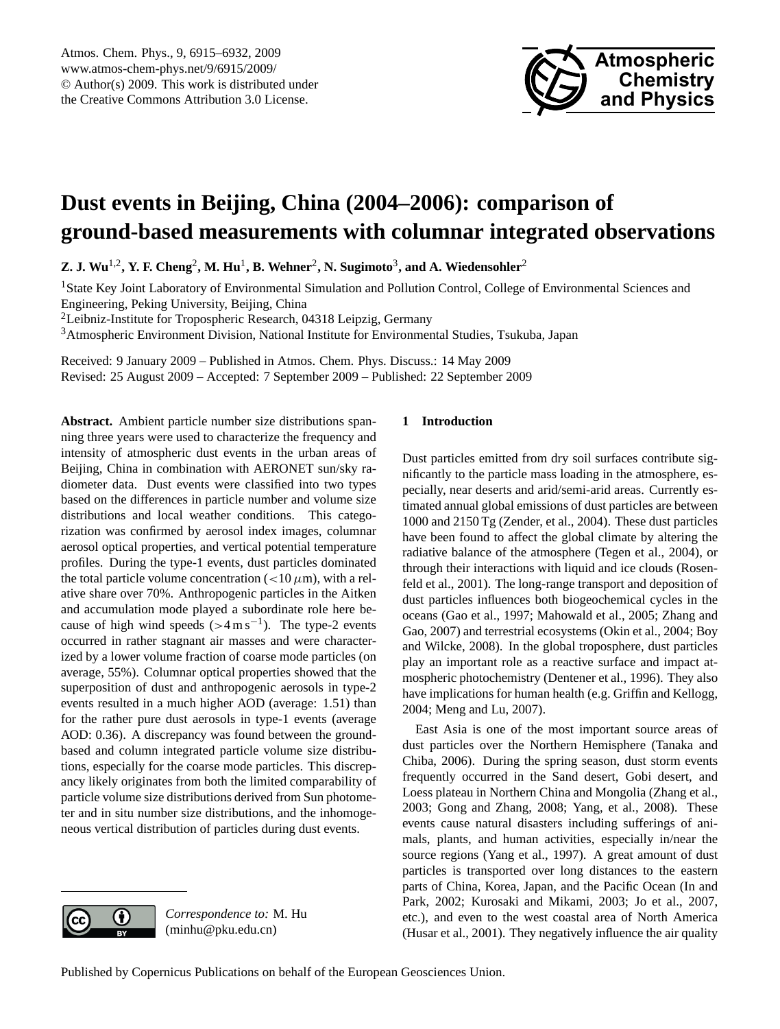

# <span id="page-0-0"></span>**Dust events in Beijing, China (2004–2006): comparison of ground-based measurements with columnar integrated observations**

 $\mathbf{Z}.$  J. Wu<sup>1,2</sup>, Y. F. Cheng<sup>2</sup>, M. Hu<sup>1</sup>, B. Wehner<sup>2</sup>, N. Sugimoto<sup>3</sup>, and A. Wiedensohler<sup>2</sup>

<sup>1</sup>State Key Joint Laboratory of Environmental Simulation and Pollution Control, College of Environmental Sciences and Engineering, Peking University, Beijing, China

<sup>2</sup>Leibniz-Institute for Tropospheric Research, 04318 Leipzig, Germany

<sup>3</sup>Atmospheric Environment Division, National Institute for Environmental Studies, Tsukuba, Japan

Received: 9 January 2009 – Published in Atmos. Chem. Phys. Discuss.: 14 May 2009 Revised: 25 August 2009 – Accepted: 7 September 2009 – Published: 22 September 2009

**Abstract.** Ambient particle number size distributions spanning three years were used to characterize the frequency and intensity of atmospheric dust events in the urban areas of Beijing, China in combination with AERONET sun/sky radiometer data. Dust events were classified into two types based on the differences in particle number and volume size distributions and local weather conditions. This categorization was confirmed by aerosol index images, columnar aerosol optical properties, and vertical potential temperature profiles. During the type-1 events, dust particles dominated the total particle volume concentration ( $<$ 10 $\mu$ m), with a relative share over 70%. Anthropogenic particles in the Aitken and accumulation mode played a subordinate role here because of high wind speeds  $( > 4 \text{ m s}^{-1})$ . The type-2 events occurred in rather stagnant air masses and were characterized by a lower volume fraction of coarse mode particles (on average, 55%). Columnar optical properties showed that the superposition of dust and anthropogenic aerosols in type-2 events resulted in a much higher AOD (average: 1.51) than for the rather pure dust aerosols in type-1 events (average AOD: 0.36). A discrepancy was found between the groundbased and column integrated particle volume size distributions, especially for the coarse mode particles. This discrepancy likely originates from both the limited comparability of particle volume size distributions derived from Sun photometer and in situ number size distributions, and the inhomogeneous vertical distribution of particles during dust events.

## **1 Introduction**

Dust particles emitted from dry soil surfaces contribute significantly to the particle mass loading in the atmosphere, especially, near deserts and arid/semi-arid areas. Currently estimated annual global emissions of dust particles are between 1000 and 2150 Tg (Zender, et al., 2004). These dust particles have been found to affect the global climate by altering the radiative balance of the atmosphere (Tegen et al., 2004), or through their interactions with liquid and ice clouds (Rosenfeld et al., 2001). The long-range transport and deposition of dust particles influences both biogeochemical cycles in the oceans (Gao et al., 1997; Mahowald et al., 2005; Zhang and Gao, 2007) and terrestrial ecosystems (Okin et al., 2004; Boy and Wilcke, 2008). In the global troposphere, dust particles play an important role as a reactive surface and impact atmospheric photochemistry (Dentener et al., 1996). They also have implications for human health (e.g. Griffin and Kellogg, 2004; Meng and Lu, 2007).

East Asia is one of the most important source areas of dust particles over the Northern Hemisphere (Tanaka and Chiba, 2006). During the spring season, dust storm events frequently occurred in the Sand desert, Gobi desert, and Loess plateau in Northern China and Mongolia (Zhang et al., 2003; Gong and Zhang, 2008; Yang, et al., 2008). These events cause natural disasters including sufferings of animals, plants, and human activities, especially in/near the source regions (Yang et al., 1997). A great amount of dust particles is transported over long distances to the eastern parts of China, Korea, Japan, and the Pacific Ocean (In and Park, 2002; Kurosaki and Mikami, 2003; Jo et al., 2007, etc.), and even to the west coastal area of North America (Husar et al., 2001). They negatively influence the air quality



*Correspondence to:* M. Hu (minhu@pku.edu.cn)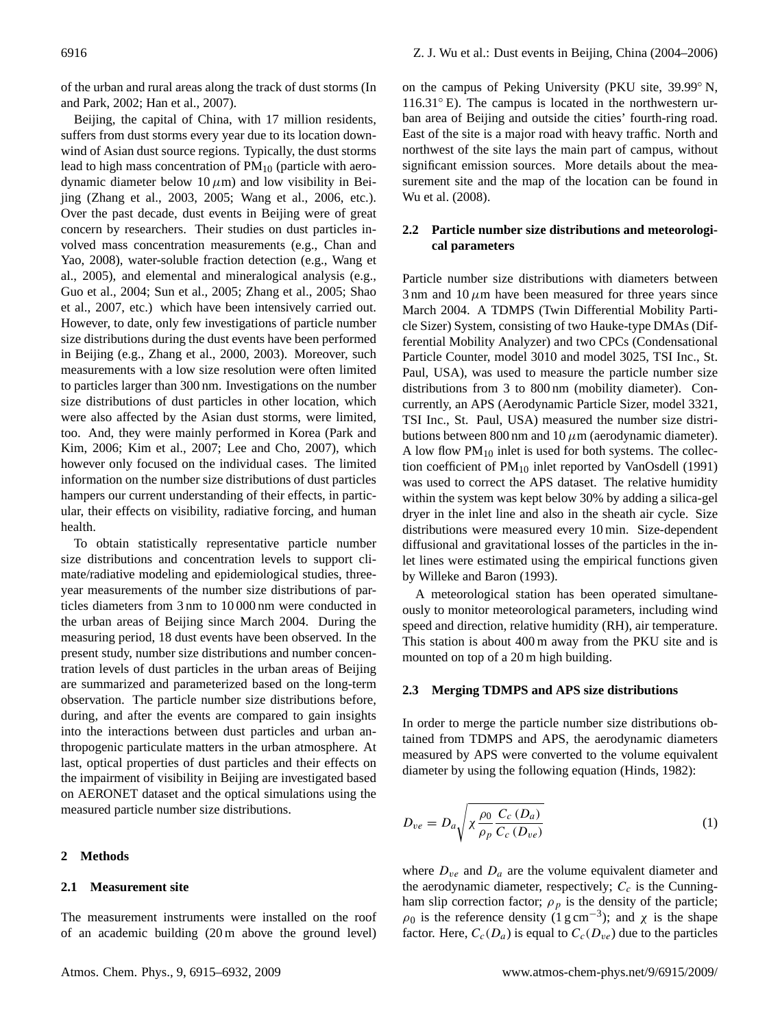of the urban and rural areas along the track of dust storms (In and Park, 2002; Han et al., 2007).

Beijing, the capital of China, with 17 million residents, suffers from dust storms every year due to its location downwind of Asian dust source regions. Typically, the dust storms lead to high mass concentration of  $PM_{10}$  (particle with aerodynamic diameter below  $10 \mu m$ ) and low visibility in Beijing (Zhang et al., 2003, 2005; Wang et al., 2006, etc.). Over the past decade, dust events in Beijing were of great concern by researchers. Their studies on dust particles involved mass concentration measurements (e.g., Chan and Yao, 2008), water-soluble fraction detection (e.g., Wang et al., 2005), and elemental and mineralogical analysis (e.g., Guo et al., 2004; Sun et al., 2005; Zhang et al., 2005; Shao et al., 2007, etc.) which have been intensively carried out. However, to date, only few investigations of particle number size distributions during the dust events have been performed in Beijing (e.g., Zhang et al., 2000, 2003). Moreover, such measurements with a low size resolution were often limited to particles larger than 300 nm. Investigations on the number size distributions of dust particles in other location, which were also affected by the Asian dust storms, were limited, too. And, they were mainly performed in Korea (Park and Kim, 2006; Kim et al., 2007; Lee and Cho, 2007), which however only focused on the individual cases. The limited information on the number size distributions of dust particles hampers our current understanding of their effects, in particular, their effects on visibility, radiative forcing, and human health.

To obtain statistically representative particle number size distributions and concentration levels to support climate/radiative modeling and epidemiological studies, threeyear measurements of the number size distributions of particles diameters from 3 nm to 10 000 nm were conducted in the urban areas of Beijing since March 2004. During the measuring period, 18 dust events have been observed. In the present study, number size distributions and number concentration levels of dust particles in the urban areas of Beijing are summarized and parameterized based on the long-term observation. The particle number size distributions before, during, and after the events are compared to gain insights into the interactions between dust particles and urban anthropogenic particulate matters in the urban atmosphere. At last, optical properties of dust particles and their effects on the impairment of visibility in Beijing are investigated based on AERONET dataset and the optical simulations using the measured particle number size distributions.

#### **2 Methods**

#### **2.1 Measurement site**

The measurement instruments were installed on the roof of an academic building (20 m above the ground level) on the campus of Peking University (PKU site, 39.99◦ N,  $116.31°$  E). The campus is located in the northwestern urban area of Beijing and outside the cities' fourth-ring road. East of the site is a major road with heavy traffic. North and northwest of the site lays the main part of campus, without significant emission sources. More details about the measurement site and the map of the location can be found in Wu et al. (2008).

## **2.2 Particle number size distributions and meteorological parameters**

Particle number size distributions with diameters between  $3 \text{ nm}$  and  $10 \mu \text{m}$  have been measured for three years since March 2004. A TDMPS (Twin Differential Mobility Particle Sizer) System, consisting of two Hauke-type DMAs (Differential Mobility Analyzer) and two CPCs (Condensational Particle Counter, model 3010 and model 3025, TSI Inc., St. Paul, USA), was used to measure the particle number size distributions from 3 to 800 nm (mobility diameter). Concurrently, an APS (Aerodynamic Particle Sizer, model 3321, TSI Inc., St. Paul, USA) measured the number size distributions between 800 nm and 10  $\mu$ m (aerodynamic diameter). A low flow  $PM_{10}$  inlet is used for both systems. The collection coefficient of PM<sub>10</sub> inlet reported by VanOsdell (1991) was used to correct the APS dataset. The relative humidity within the system was kept below 30% by adding a silica-gel dryer in the inlet line and also in the sheath air cycle. Size distributions were measured every 10 min. Size-dependent diffusional and gravitational losses of the particles in the inlet lines were estimated using the empirical functions given by Willeke and Baron (1993).

A meteorological station has been operated simultaneously to monitor meteorological parameters, including wind speed and direction, relative humidity (RH), air temperature. This station is about 400 m away from the PKU site and is mounted on top of a 20 m high building.

#### **2.3 Merging TDMPS and APS size distributions**

In order to merge the particle number size distributions obtained from TDMPS and APS, the aerodynamic diameters measured by APS were converted to the volume equivalent diameter by using the following equation (Hinds, 1982):

$$
D_{ve} = D_a \sqrt{\chi \frac{\rho_0}{\rho_p} \frac{C_c (D_a)}{C_c (D_{ve})}}
$$
(1)

where  $D_{ve}$  and  $D_a$  are the volume equivalent diameter and the aerodynamic diameter, respectively;  $C_c$  is the Cunningham slip correction factor;  $\rho_p$  is the density of the particle;  $\rho_0$  is the reference density (1 g cm<sup>-3</sup>); and  $\chi$  is the shape factor. Here,  $C_c(D_a)$  is equal to  $C_c(D_{ve})$  due to the particles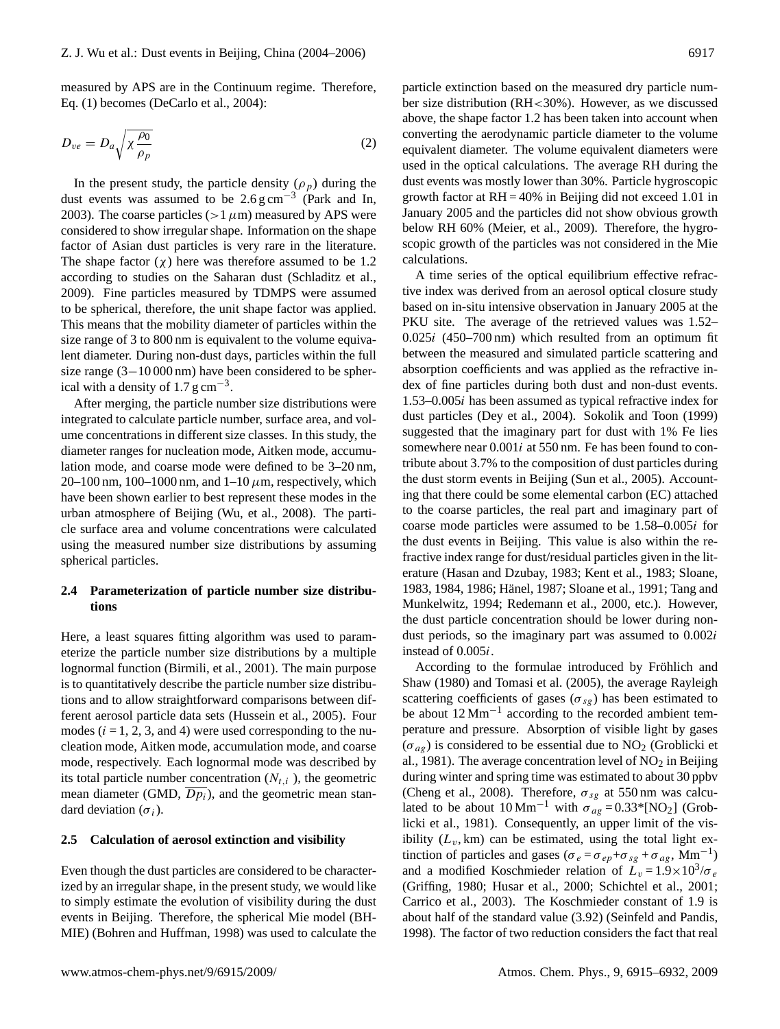measured by APS are in the Continuum regime. Therefore, Eq. (1) becomes (DeCarlo et al., 2004):

$$
D_{ve} = D_a \sqrt{\chi \frac{\rho_0}{\rho_p}}
$$
 (2)

In the present study, the particle density  $(\rho_p)$  during the dust events was assumed to be  $2.6 \text{ g cm}^{-3}$  (Park and In, 2003). The coarse particles ( $>1 \mu$ m) measured by APS were considered to show irregular shape. Information on the shape factor of Asian dust particles is very rare in the literature. The shape factor  $(\chi)$  here was therefore assumed to be 1.2 according to studies on the Saharan dust (Schladitz et al., 2009). Fine particles measured by TDMPS were assumed to be spherical, therefore, the unit shape factor was applied. This means that the mobility diameter of particles within the size range of 3 to 800 nm is equivalent to the volume equivalent diameter. During non-dust days, particles within the full size range (3−10 000 nm) have been considered to be spherical with a density of  $1.7 \text{ g cm}^{-3}$ .

After merging, the particle number size distributions were integrated to calculate particle number, surface area, and volume concentrations in different size classes. In this study, the diameter ranges for nucleation mode, Aitken mode, accumulation mode, and coarse mode were defined to be 3–20 nm, 20–100 nm, 100–1000 nm, and 1–10  $\mu$ m, respectively, which have been shown earlier to best represent these modes in the urban atmosphere of Beijing (Wu, et al., 2008). The particle surface area and volume concentrations were calculated using the measured number size distributions by assuming spherical particles.

## **2.4 Parameterization of particle number size distributions**

Here, a least squares fitting algorithm was used to parameterize the particle number size distributions by a multiple lognormal function (Birmili, et al., 2001). The main purpose is to quantitatively describe the particle number size distributions and to allow straightforward comparisons between different aerosol particle data sets (Hussein et al., 2005). Four modes  $(i = 1, 2, 3, \text{ and } 4)$  were used corresponding to the nucleation mode, Aitken mode, accumulation mode, and coarse mode, respectively. Each lognormal mode was described by its total particle number concentration  $(N_{t,i})$ , the geometric mean diameter (GMD,  $\overline{Dp_i}$ ), and the geometric mean standard deviation  $(\sigma_i)$ .

#### **2.5 Calculation of aerosol extinction and visibility**

Even though the dust particles are considered to be characterized by an irregular shape, in the present study, we would like to simply estimate the evolution of visibility during the dust events in Beijing. Therefore, the spherical Mie model (BH-MIE) (Bohren and Huffman, 1998) was used to calculate the particle extinction based on the measured dry particle number size distribution (RH<30%). However, as we discussed above, the shape factor 1.2 has been taken into account when converting the aerodynamic particle diameter to the volume equivalent diameter. The volume equivalent diameters were used in the optical calculations. The average RH during the dust events was mostly lower than 30%. Particle hygroscopic growth factor at  $RH = 40\%$  in Beijing did not exceed 1.01 in January 2005 and the particles did not show obvious growth below RH 60% (Meier, et al., 2009). Therefore, the hygroscopic growth of the particles was not considered in the Mie calculations.

A time series of the optical equilibrium effective refractive index was derived from an aerosol optical closure study based on in-situ intensive observation in January 2005 at the PKU site. The average of the retrieved values was 1.52–  $0.025i$  (450–700 nm) which resulted from an optimum fit between the measured and simulated particle scattering and absorption coefficients and was applied as the refractive index of fine particles during both dust and non-dust events. 1.53–0.005i has been assumed as typical refractive index for dust particles (Dey et al., 2004). Sokolik and Toon (1999) suggested that the imaginary part for dust with 1% Fe lies somewhere near  $0.001i$  at 550 nm. Fe has been found to contribute about 3.7% to the composition of dust particles during the dust storm events in Beijing (Sun et al., 2005). Accounting that there could be some elemental carbon (EC) attached to the coarse particles, the real part and imaginary part of coarse mode particles were assumed to be 1.58–0.005i for the dust events in Beijing. This value is also within the refractive index range for dust/residual particles given in the literature (Hasan and Dzubay, 1983; Kent et al., 1983; Sloane, 1983, 1984, 1986; Hanel, 1987; Sloane et al., 1991; Tang and ¨ Munkelwitz, 1994; Redemann et al., 2000, etc.). However, the dust particle concentration should be lower during nondust periods, so the imaginary part was assumed to 0.002i instead of 0.005i.

According to the formulae introduced by Fröhlich and Shaw (1980) and Tomasi et al. (2005), the average Rayleigh scattering coefficients of gases ( $\sigma_{sg}$ ) has been estimated to be about 12 Mm−<sup>1</sup> according to the recorded ambient temperature and pressure. Absorption of visible light by gases  $(\sigma_{ag})$  is considered to be essential due to NO<sub>2</sub> (Groblicki et al., 1981). The average concentration level of  $NO<sub>2</sub>$  in Beijing during winter and spring time was estimated to about 30 ppbv (Cheng et al., 2008). Therefore,  $\sigma_{sg}$  at 550 nm was calculated to be about  $10 \text{ Mm}^{-1}$  with  $\sigma_{ag} = 0.33^*[\text{NO}_2]$  (Groblicki et al., 1981). Consequently, an upper limit of the visibility  $(L_v, km)$  can be estimated, using the total light extinction of particles and gases ( $\sigma_e = \sigma_{ep} + \sigma_{sg} + \sigma_{ag}$ , Mm<sup>-1</sup>) and a modified Koschmieder relation of  $\bar{L}_v = 1.9 \times 10^3/\sigma_e$ (Griffing, 1980; Husar et al., 2000; Schichtel et al., 2001; Carrico et al., 2003). The Koschmieder constant of 1.9 is about half of the standard value (3.92) (Seinfeld and Pandis, 1998). The factor of two reduction considers the fact that real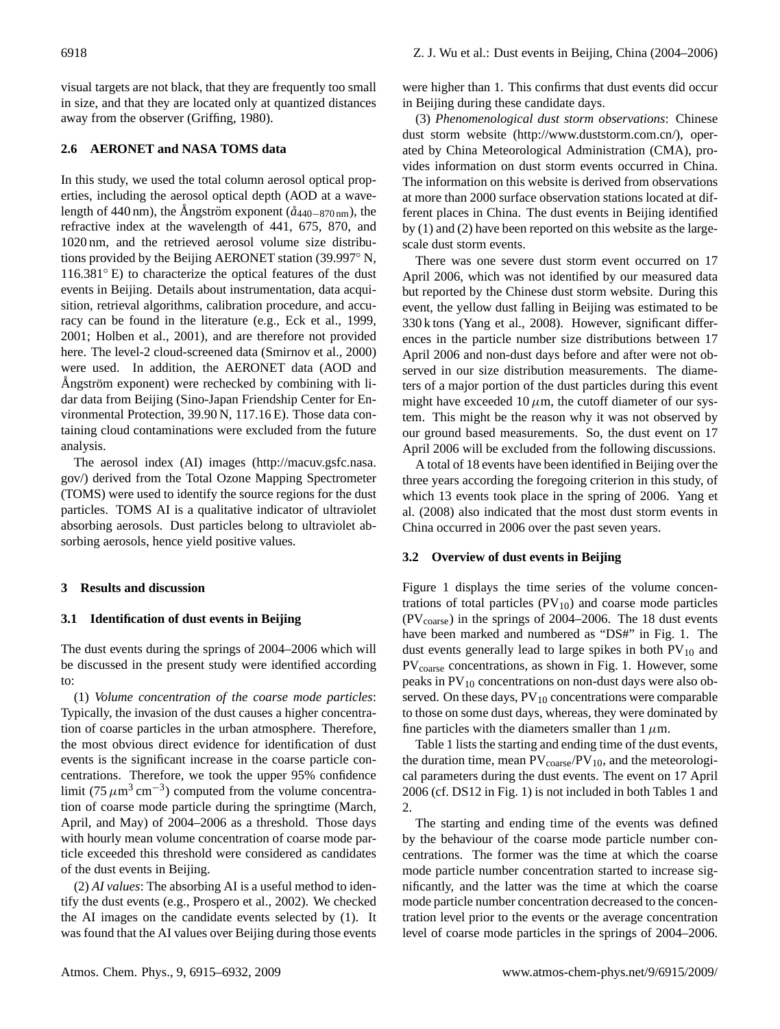visual targets are not black, that they are frequently too small in size, and that they are located only at quantized distances away from the observer (Griffing, 1980).

# **2.6 AERONET and NASA TOMS data**

In this study, we used the total column aerosol optical properties, including the aerosol optical depth (AOD at a wavelength of 440 nm), the Angström exponent  $(\hat{a}_{440-870 \text{ nm}})$ , the refractive index at the wavelength of 441, 675, 870, and 1020 nm, and the retrieved aerosol volume size distributions provided by the Beijing AERONET station (39.997◦ N, 116.381◦ E) to characterize the optical features of the dust events in Beijing. Details about instrumentation, data acquisition, retrieval algorithms, calibration procedure, and accuracy can be found in the literature (e.g., Eck et al., 1999, 2001; Holben et al., 2001), and are therefore not provided here. The level-2 cloud-screened data (Smirnov et al., 2000) were used. In addition, the AERONET data (AOD and Angström exponent) were rechecked by combining with lidar data from Beijing (Sino-Japan Friendship Center for Environmental Protection, 39.90 N, 117.16 E). Those data containing cloud contaminations were excluded from the future analysis.

The aerosol index (AI) images [\(http://macuv.gsfc.nasa.](http://macuv.gsfc.nasa.gov/) [gov/\)](http://macuv.gsfc.nasa.gov/) derived from the Total Ozone Mapping Spectrometer (TOMS) were used to identify the source regions for the dust particles. TOMS AI is a qualitative indicator of ultraviolet absorbing aerosols. Dust particles belong to ultraviolet absorbing aerosols, hence yield positive values.

## **3 Results and discussion**

# **3.1 Identification of dust events in Beijing**

The dust events during the springs of 2004–2006 which will be discussed in the present study were identified according to:

(1) *Volume concentration of the coarse mode particles*: Typically, the invasion of the dust causes a higher concentration of coarse particles in the urban atmosphere. Therefore, the most obvious direct evidence for identification of dust events is the significant increase in the coarse particle concentrations. Therefore, we took the upper 95% confidence limit (75  $\mu$ m<sup>3</sup> cm<sup>-3</sup>) computed from the volume concentration of coarse mode particle during the springtime (March, April, and May) of 2004–2006 as a threshold. Those days with hourly mean volume concentration of coarse mode particle exceeded this threshold were considered as candidates of the dust events in Beijing.

(2) *AI values*: The absorbing AI is a useful method to identify the dust events (e.g., Prospero et al., 2002). We checked the AI images on the candidate events selected by (1). It was found that the AI values over Beijing during those events were higher than 1. This confirms that dust events did occur in Beijing during these candidate days.

(3) *Phenomenological dust storm observations*: Chinese dust storm website [\(http://www.duststorm.com.cn/\)](http://www.duststorm.com.cn/), operated by China Meteorological Administration (CMA), provides information on dust storm events occurred in China. The information on this website is derived from observations at more than 2000 surface observation stations located at different places in China. The dust events in Beijing identified by (1) and (2) have been reported on this website as the largescale dust storm events.

There was one severe dust storm event occurred on 17 April 2006, which was not identified by our measured data but reported by the Chinese dust storm website. During this event, the yellow dust falling in Beijing was estimated to be 330 k tons (Yang et al., 2008). However, significant differences in the particle number size distributions between 17 April 2006 and non-dust days before and after were not observed in our size distribution measurements. The diameters of a major portion of the dust particles during this event might have exceeded 10  $\mu$ m, the cutoff diameter of our system. This might be the reason why it was not observed by our ground based measurements. So, the dust event on 17 April 2006 will be excluded from the following discussions.

A total of 18 events have been identified in Beijing over the three years according the foregoing criterion in this study, of which 13 events took place in the spring of 2006. Yang et al. (2008) also indicated that the most dust storm events in China occurred in 2006 over the past seven years.

# **3.2 Overview of dust events in Beijing**

Figure 1 displays the time series of the volume concentrations of total particles  $(PV_{10})$  and coarse mode particles  $(PV_{coarse})$  in the springs of 2004–2006. The 18 dust events have been marked and numbered as "DS#" in Fig. 1. The dust events generally lead to large spikes in both  $PV_{10}$  and PV<sub>coarse</sub> concentrations, as shown in Fig. 1. However, some peaks in  $PV_{10}$  concentrations on non-dust days were also observed. On these days,  $PV_{10}$  concentrations were comparable to those on some dust days, whereas, they were dominated by fine particles with the diameters smaller than  $1 \mu$ m.

Table 1 lists the starting and ending time of the dust events, the duration time, mean  $PV_{\text{coarse}}/PV_{10}$ , and the meteorological parameters during the dust events. The event on 17 April 2006 (cf. DS12 in Fig. 1) is not included in both Tables 1 and 2.

The starting and ending time of the events was defined by the behaviour of the coarse mode particle number concentrations. The former was the time at which the coarse mode particle number concentration started to increase significantly, and the latter was the time at which the coarse mode particle number concentration decreased to the concentration level prior to the events or the average concentration level of coarse mode particles in the springs of 2004–2006.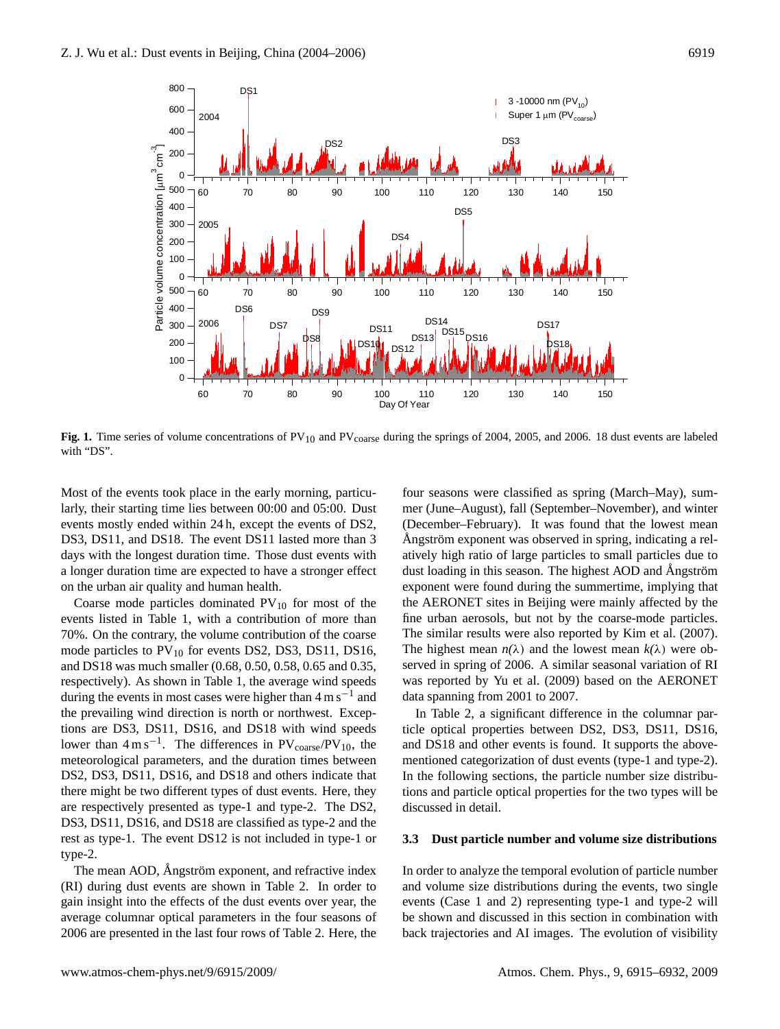

 $\frac{1}{2}$ **Fig. 1.** Time series of volume concentrations of PV<sub>10</sub> and PV<sub>coarse</sub> during the springs of 2004, 2005, and 2006. 18 dust events are labeled with "DS".

Most of the events took place in the early morning, particuevents mostly ended within 24 h, except the events of DS2, DS3, DS11, and DS18. The event DS11 lasted more than 3 a longer duration time are expected to have a stronger effect on the urban air quality and human health. larly, their starting time lies between 00:00 and 05:00. Dust days with the longest duration time. Those dust events with

events listed in Table 1, with a contribution of more than  $\frac{95}{6}$  mode particles to  $PV_{10}$  for events DS2, DS3, DS11, DS16, and DS18 was much smaller (0.68, 0.50, 0.58, 0.65 and 0.35, during the events in most cases were higher than  $4 \text{ m s}^{-1}$  and Coarse mode particles dominated  $PV_{10}$  for most of the 70%. On the contrary, the volume contribution of the coarse respectively). As shown in Table 1, the average wind speeds the prevailing wind direction is north or northwest. Exceptions are DS3, DS11, DS16, and DS18 with wind speeds lower than  $4 \text{ m s}^{-1}$ . The differences in PV<sub>coarse</sub>/PV<sub>10</sub>, the meteorological parameters, and the duration times between DS2, DS3, DS11, DS16, and DS18 and others indicate that there might be two different types of dust events. Here, they are respectively presented as type-1 and type-2. The DS2, DS3, DS11, DS16, and DS18 are classified as type-2 and the rest as type-1. The event DS12 is not included in type-1 or type-2.

The mean AOD, Angström exponent, and refractive index (RI) during dust events are shown in Table 2. In order to gain insight into the effects of the dust events over year, the average columnar optical parameters in the four seasons of 2006 are presented in the last four rows of Table 2. Here, the four seasons were classified as spring (March–May), summer (June–August), fall (September–November), and winter (December–February). It was found that the lowest mean Angström exponent was observed in spring, indicating a relatively high ratio of large particles to small particles due to dust loading in this season. The highest AOD and Angström exponent were found during the summertime, implying that the AERONET sites in Beijing were mainly affected by the fine urban aerosols, but not by the coarse-mode particles. The similar results were also reported by Kim et al. (2007). The highest mean  $n(\lambda)$  and the lowest mean  $k(\lambda)$  were observed in spring of 2006. A similar seasonal variation of RI was reported by Yu et al. (2009) based on the AERONET data spanning from 2001 to 2007.

and DS18 and other events is found. It supports the above-In Table 2, a significant difference in the columnar particle optical properties between DS2, DS3, DS11, DS16, mentioned categorization of dust events (type-1 and type-2). In the following sections, the particle number size distributions and particle optical properties for the two types will be discussed in detail.

## **3.3 Dust particle number and volume size distributions**

In order to analyze the temporal evolution of particle number and volume size distributions during the events, two single events (Case 1 and 2) representing type-1 and type-2 will be shown and discussed in this section in combination with back trajectories and AI images. The evolution of visibility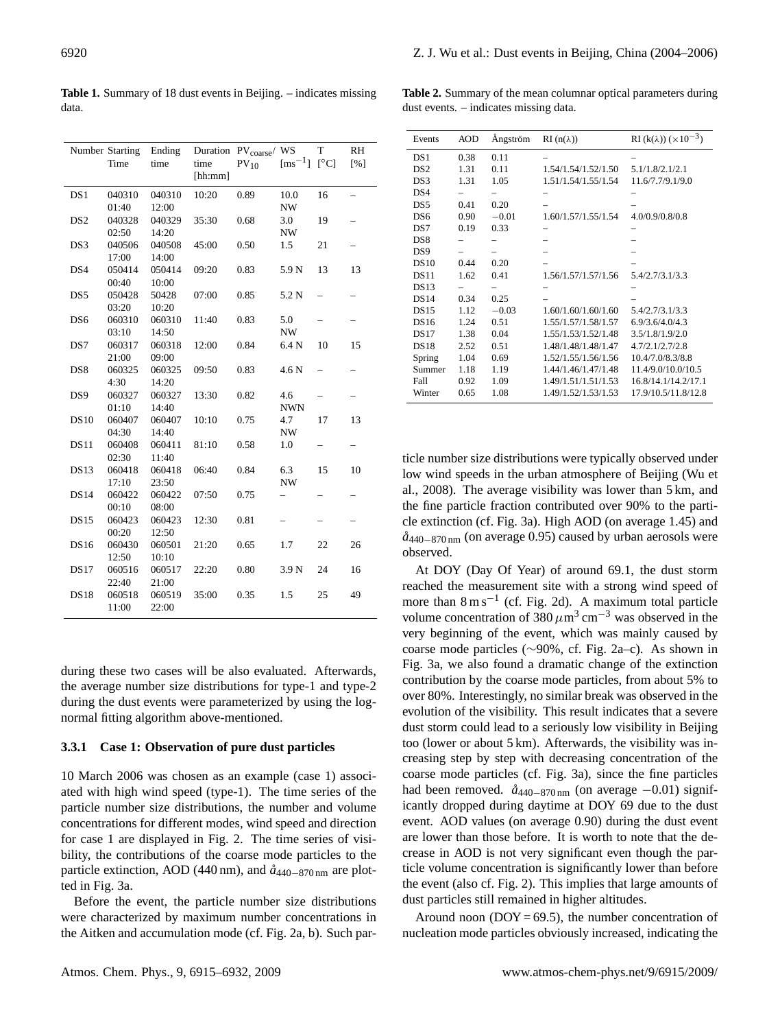|                 | Number Starting<br>Time | Ending<br>time  | time<br>[hh:mm] | Duration PV <sub>coarse</sub> / WS<br>$PV_{10}$ | $\mathrm{[ms^{-1}]}$ | T<br>$\lceil$ <sup>o</sup> Cl | RH<br>[%]                |
|-----------------|-------------------------|-----------------|-----------------|-------------------------------------------------|----------------------|-------------------------------|--------------------------|
| DS1             | 040310<br>01:40         | 040310<br>12:00 | 10:20           | 0.89                                            | 10.0<br>NW           | 16                            | $\overline{\phantom{0}}$ |
| DS <sub>2</sub> | 040328<br>02:50         | 040329<br>14:20 | 35:30           | 0.68                                            | 3.0<br><b>NW</b>     | 19                            |                          |
| DS3             | 040506<br>17:00         | 040508<br>14:00 | 45:00           | 0.50                                            | 1.5                  | 21                            |                          |
| DS4             | 050414<br>00:40         | 050414<br>10:00 | 09:20           | 0.83                                            | 5.9 N                | 13                            | 13                       |
| DS5             | 050428<br>03:20         | 50428<br>10:20  | 07:00           | 0.85                                            | 5.2 N                |                               |                          |
| DS6             | 060310<br>03:10         | 060310<br>14:50 | 11:40           | 0.83                                            | 5.0<br><b>NW</b>     | $\overline{\phantom{0}}$      | -                        |
| DS7             | 060317<br>21:00         | 060318<br>09:00 | 12:00           | 0.84                                            | 6.4 N                | 10                            | 15                       |
| DS <sub>8</sub> | 060325<br>4:30          | 060325<br>14:20 | 09:50           | 0.83                                            | 4.6 N                |                               |                          |
| DS <sub>9</sub> | 060327<br>01:10         | 060327<br>14:40 | 13:30           | 0.82                                            | 4.6<br><b>NWN</b>    | $\overline{\phantom{0}}$      | $\overline{\phantom{0}}$ |
| <b>DS10</b>     | 060407<br>04:30         | 060407<br>14:40 | 10:10           | 0.75                                            | 4.7<br><b>NW</b>     | 17                            | 13                       |
| <b>DS11</b>     | 060408<br>02:30         | 060411<br>11:40 | 81:10           | 0.58                                            | 1.0                  | $\overline{\phantom{0}}$      | -                        |
| <b>DS13</b>     | 060418<br>17:10         | 060418<br>23:50 | 06:40           | 0.84                                            | 6.3<br>NW            | 15                            | 10                       |
| DS14            | 060422<br>00:10         | 060422<br>08:00 | 07:50           | 0.75                                            |                      |                               |                          |
| <b>DS15</b>     | 060423<br>00:20         | 060423<br>12:50 | 12:30           | 0.81                                            |                      |                               | -                        |
| <b>DS16</b>     | 060430<br>12:50         | 060501<br>10:10 | 21:20           | 0.65                                            | 1.7                  | 22                            | 26                       |
| <b>DS17</b>     | 060516<br>22:40         | 060517<br>21:00 | 22:20           | 0.80                                            | 3.9 N                | 24                            | 16                       |
| <b>DS18</b>     | 060518<br>11:00         | 060519<br>22:00 | 35:00           | 0.35                                            | 1.5                  | 25                            | 49                       |

**Table 1.** Summary of 18 dust events in Beijing. – indicates missing data.

during these two cases will be also evaluated. Afterwards, the average number size distributions for type-1 and type-2 during the dust events were parameterized by using the lognormal fitting algorithm above-mentioned.

#### **3.3.1 Case 1: Observation of pure dust particles**

10 March 2006 was chosen as an example (case 1) associated with high wind speed (type-1). The time series of the particle number size distributions, the number and volume concentrations for different modes, wind speed and direction for case 1 are displayed in Fig. 2. The time series of visibility, the contributions of the coarse mode particles to the particle extinction, AOD (440 nm), and  $\hat{a}_{440-870 \text{ nm}}$  are plotted in Fig. 3a.

Before the event, the particle number size distributions were characterized by maximum number concentrations in the Aitken and accumulation mode (cf. Fig. 2a, b). Such par-

**Table 2.** Summary of the mean columnar optical parameters during dust events. – indicates missing data.

| Events          | AOD  | Ångström | $RI(n(\lambda))$    | RI (k( $\lambda$ )) ( $\times 10^{-3}$ ) |
|-----------------|------|----------|---------------------|------------------------------------------|
| DS1             | 0.38 | 0.11     |                     |                                          |
| DS <sub>2</sub> | 1.31 | 0.11     | 1.54/1.54/1.52/1.50 | 5.1/1.8/2.1/2.1                          |
| DS3             | 1.31 | 1.05     | 1.51/1.54/1.55/1.54 | 11.6/7.7/9.1/9.0                         |
| DS4             |      |          |                     |                                          |
| DS <sub>5</sub> | 0.41 | 0.20     |                     |                                          |
| DS <sub>6</sub> | 0.90 | $-0.01$  | 1.60/1.57/1.55/1.54 | 4.0/0.9/0.8/0.8                          |
| DS7             | 0.19 | 0.33     |                     |                                          |
| DS <sub>8</sub> |      |          |                     |                                          |
| DS <sub>9</sub> |      |          |                     |                                          |
| DS10            | 0.44 | 0.20     |                     |                                          |
| DS11            | 1.62 | 0.41     | 1.56/1.57/1.57/1.56 | 5.4/2.7/3.1/3.3                          |
| <b>DS13</b>     |      |          |                     |                                          |
| DS14            | 0.34 | 0.25     |                     |                                          |
| DS15            | 1.12 | $-0.03$  | 1.60/1.60/1.60/1.60 | 5.4/2.7/3.1/3.3                          |
| <b>DS16</b>     | 1.24 | 0.51     | 1.55/1.57/1.58/1.57 | 6.9/3.6/4.0/4.3                          |
| DS17            | 1.38 | 0.04     | 1.55/1.53/1.52/1.48 | 3.5/1.8/1.9/2.0                          |
| <b>DS18</b>     | 2.52 | 0.51     | 1.48/1.48/1.48/1.47 | 4.7/2.1/2.7/2.8                          |
| Spring          | 1.04 | 0.69     | 1.52/1.55/1.56/1.56 | 10.4/7.0/8.3/8.8                         |
| Summer          | 1.18 | 1.19     | 1.44/1.46/1.47/1.48 | 11.4/9.0/10.0/10.5                       |
| Fall            | 0.92 | 1.09     | 1.49/1.51/1.51/1.53 | 16.8/14.1/14.2/17.1                      |
| Winter          | 0.65 | 1.08     | 1.49/1.52/1.53/1.53 | 17.9/10.5/11.8/12.8                      |

ticle number size distributions were typically observed under low wind speeds in the urban atmosphere of Beijing (Wu et al., 2008). The average visibility was lower than 5 km, and the fine particle fraction contributed over 90% to the particle extinction (cf. Fig. 3a). High AOD (on average 1.45) and *a˚*440−870 nm (on average 0.95) caused by urban aerosols were observed.

At DOY (Day Of Year) of around 69.1, the dust storm reached the measurement site with a strong wind speed of more than 8 m s<sup>-1</sup> (cf. Fig. 2d). A maximum total particle volume concentration of 380  $\mu$ m<sup>3</sup> cm<sup>-3</sup> was observed in the very beginning of the event, which was mainly caused by coarse mode particles (∼90%, cf. Fig. 2a–c). As shown in Fig. 3a, we also found a dramatic change of the extinction contribution by the coarse mode particles, from about 5% to over 80%. Interestingly, no similar break was observed in the evolution of the visibility. This result indicates that a severe dust storm could lead to a seriously low visibility in Beijing too (lower or about 5 km). Afterwards, the visibility was increasing step by step with decreasing concentration of the coarse mode particles (cf. Fig. 3a), since the fine particles had been removed.  $\hat{a}_{440-870 \text{ nm}}$  (on average −0.01) significantly dropped during daytime at DOY 69 due to the dust event. AOD values (on average 0.90) during the dust event are lower than those before. It is worth to note that the decrease in AOD is not very significant even though the particle volume concentration is significantly lower than before the event (also cf. Fig. 2). This implies that large amounts of dust particles still remained in higher altitudes.

Around noon ( $DOY = 69.5$ ), the number concentration of nucleation mode particles obviously increased, indicating the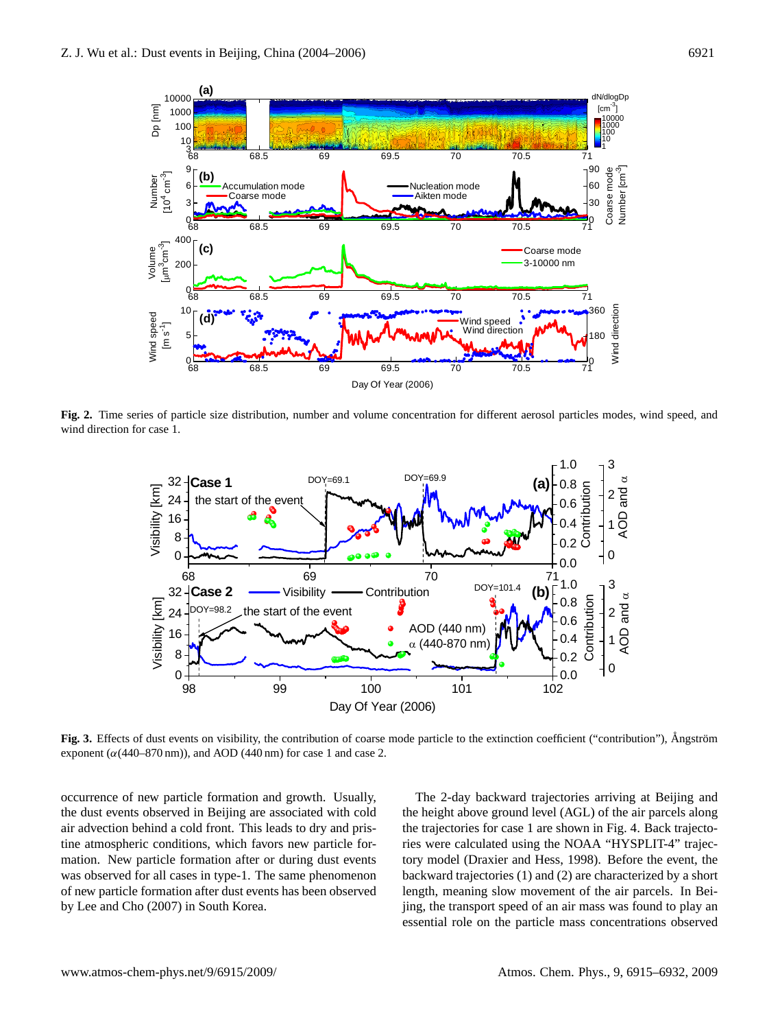

Fig. 2. Time series of particle size distribution, number and volume concentration for different aerosol particles modes, wind speed, and  $\frac{967}{1000}$  direction for case 1. wind direction for case 1.



Fig. 3. Effects of dust events on visibility, the contribution of coarse mode particle to the extinction coefficient ("contribution"), Ångström exponent  $(\alpha(440–870 \text{ nm}))$ , and AOD (440 nm) for case 1 and case 2.

987 the extinction coefficient ("contribution"), Ångström exponent (α(440−870 nm)), and the dust events observed in Beijing are associated with cold an develon behind a cold front. This reads to dry and pristine atmospheric conditions, which favors new particle formation. New particle formation after or during dust events of new particle formation after dust events has been observed by Lee and Cho (2007) in South Korea. occurrence of new particle formation and growth. Usually, air advection behind a cold front. This leads to dry and priswas observed for all cases in type-1. The same phenomenon

The 2-day backward trajectories arriving at Beijing and the height above ground level (AGL) of the air parcels along the trajectories for case 1 are shown in Fig. 4. Back trajectories were calculated using the NOAA "HYSPLIT-4" trajectory model (Draxier and Hess, 1998). Before the event, the backward trajectories (1) and (2) are characterized by a short length, meaning slow movement of the air parcels. In Beijing, the transport speed of an air mass was found to play an essential role on the particle mass concentrations observed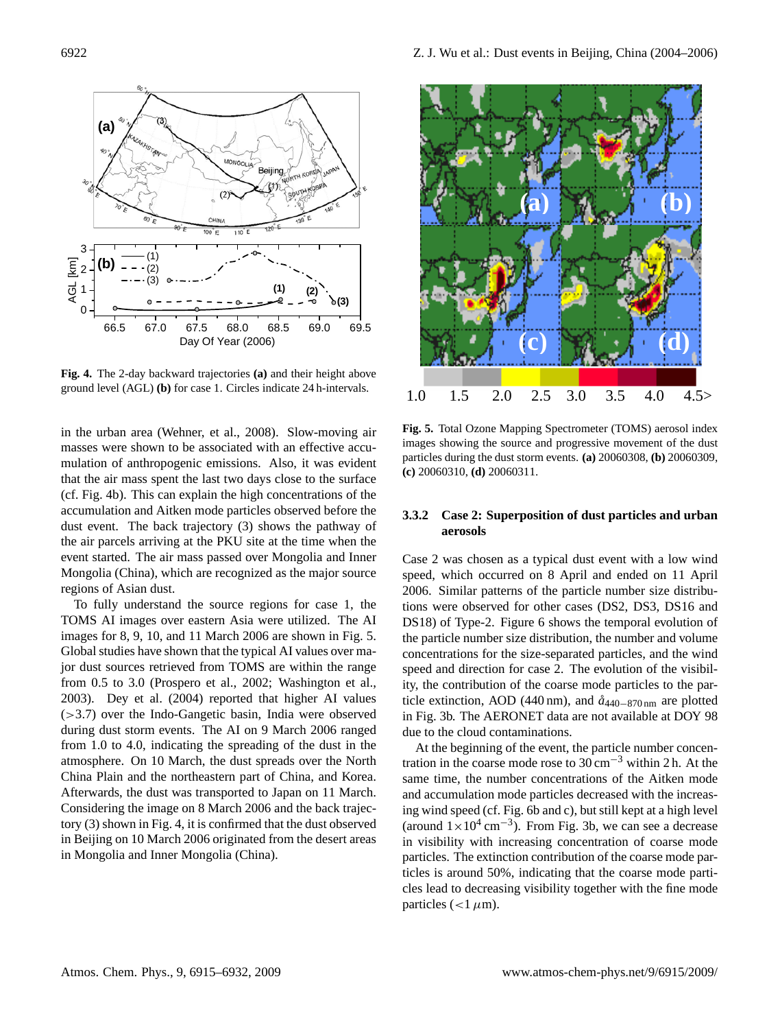

ground level  $(AGL)$  (b) for case 1. Circles indicate 24 h-intervals. **Fig. 4.** The 2-day backward trajectories **(a)** and their height above

in the urban area (Wehner, et al., 2008). Slow-moving air masses were shown to be associated with an effective accumulation of anthropogenic emissions. Also, it was evident that the air mass spent the last two days close to the surface (cf. Fig. 4b). This can explain the high concentrations of the accumulation and Aitken mode particles observed before the dust event. The back trajectory (3) shows the pathway of the air parcels arriving at the PKU site at the time when the event started. The air mass passed over Mongolia and Inner Mongolia (China), which are recognized as the major source regions of Asian dust.

To fully understand the source regions for case 1, the TOMS AI images over eastern Asia were utilized. The AI images for 8, 9, 10, and 11 March 2006 are shown in Fig. 5. Global studies have shown that the typical AI values over major dust sources retrieved from TOMS are within the range from 0.5 to 3.0 (Prospero et al., 2002; Washington et al., 2003). Dey et al. (2004) reported that higher AI values (>3.7) over the Indo-Gangetic basin, India were observed during dust storm events. The AI on 9 March 2006 ranged from 1.0 to 4.0, indicating the spreading of the dust in the atmosphere. On 10 March, the dust spreads over the North China Plain and the northeastern part of China, and Korea. Afterwards, the dust was transported to Japan on 11 March. Considering the image on 8 March 2006 and the back trajectory (3) shown in Fig. 4, it is confirmed that the dust observed in Beijing on 10 March 2006 originated from the desert areas in Mongolia and Inner Mongolia (China).



**Fig. 5.** Total Ozone Mapping Spectrometer (TOMS) aerosol index images showing the source and progressive movement of the dust particles during the dust storm events. **(a)** 20060308, **(b)** 20060309, **(c)** 20060310, **(d)** 20060311.

## **3.3.2 Case 2: Superposition of dust particles and urban aerosols**

Case 2 was chosen as a typical dust event with a low wind speed, which occurred on 8 April and ended on 11 April 2006. Similar patterns of the particle number size distributions were observed for other cases (DS2, DS3, DS16 and DS18) of Type-2. Figure 6 shows the temporal evolution of the particle number size distribution, the number and volume concentrations for the size-separated particles, and the wind speed and direction for case 2. The evolution of the visibility, the contribution of the coarse mode particles to the particle extinction, AOD (440 nm), and *a˚*440−870 nm are plotted in Fig. 3b. The AERONET data are not available at DOY 98 due to the cloud contaminations.

same time, the number concentrations of the Aitken mode At the beginning of the event, the particle number concentration in the coarse mode rose to  $30 \text{ cm}^{-3}$  within 2 h. At the and accumulation mode particles decreased with the increasing wind speed (cf. Fig. 6b and c), but still kept at a high level (around  $1 \times 10^4$  cm<sup>-3</sup>). From Fig. 3b, we can see a decrease in visibility with increasing concentration of coarse mode particles. The extinction contribution of the coarse mode particles is around 50%, indicating that the coarse mode particles lead to decreasing visibility together with the fine mode particles ( $<1 \mu$ m).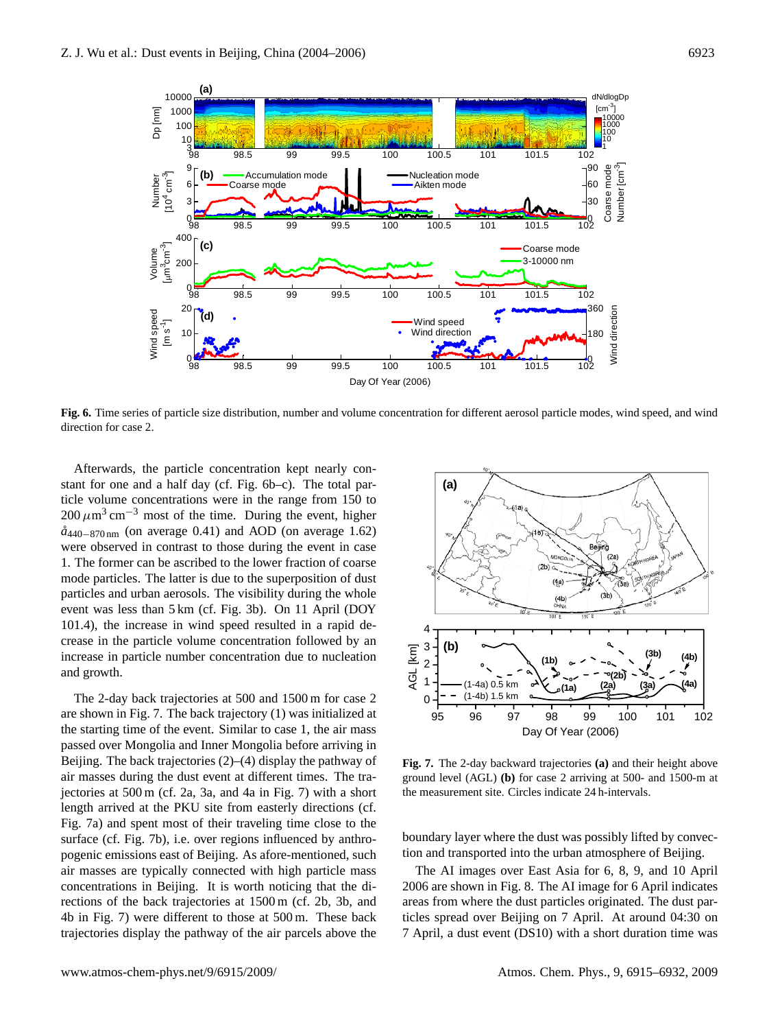

Fig. 6. Time series of particle size distribution, number and volume concentration for different aerosol particle modes, wind speed, and wind direction for case 2.  $\frac{1}{2}$ direction for case 2.

Afterwards, the particle concentration kept nearly constant for one and a half day (cf. Fig. 6b-c). The total par- $200 \mu m^3$  cm<sup>-3</sup> most of the time. During the event, higher 1053 *a˚*440−870 nm (on average 0.41) and AOD (on average 1.62) 1. The former can be ascribed to the lower fraction of coarse mode particles. The latter is due to the superposition of dust event was less than 5 km (cf. Fig. 3b). On 11 April (DOY 101.4), the increase in wind speed resulted in a rapid deincrease in particle number concentration due to nucleation and growth. ticle volume concentrations were in the range from 150 to were observed in contrast to those during the event in case particles and urban aerosols. The visibility during the whole crease in the particle volume concentration followed by an

The 2-day back trajectories at 500 and 1500 m for case 2 are shown in Fig. 7. The back trajectory (1) was initialized at the starting time of the event. Similar to case 1, the air mass passed over Mongolia and Inner Mongolia before arriving in<br>Deiling The hard trainateries (2) (4) display the nathway of Beijing. The back trajectories (2)–(4) display the pathway of air masses during the dust event at different times. The trajectories at 500 m (cf. 2a, 3a, and 4a in Fig. 7) with a short length arrived at the PKU site from easterly directions (cf.  $\frac{1}{2}$  and  $\frac{1}{2}$  and  $\frac{1}{2}$  and  $\frac{1}{2}$  and  $\frac{1}{2}$  and  $\frac{1}{2}$  and  $\frac{1}{2}$  and  $\frac{1}{2}$  and  $\frac{1}{2}$  and  $\frac{1}{2}$  and  $\frac{1}{2}$  and  $\frac{1}{$ Fig. 7a) and spent most of their traveling time close to the surface (cf. Fig. 7b), i.e. over regions influenced by anthropogenic emissions east of Beijing. As afore-mentioned, such air masses are typically connected with high particle mass an masses are typicarly connected with high particle mass<br>concentrations in Beijing. It is worth noticing that the directions of the back trajectories at 1500 m (cf. 2b, 3b, and 4b in Fig. 7) were different to those at 500 m. These back trajectories display the pathway of the air parcels above the



at different times. The tra-<br>ground level  $(AGL)$  (b) for case 2 arriving at 500- and 1500-m at **Fig. 7.** The 2-day backward trajectories **(a)** and their height above the measurement site. Circles indicate 24 h-intervals.

boundary layer where the dust was possibly lifted by convection and transported into the urban atmosphere of Beijing.

The AI images over East Asia for 6, 8, 9, and 10 April 2006 are shown in Fig. 8. The AI image for 6 April indicates areas from where the dust particles originated. The dust particles spread over Beijing on 7 April. At around 04:30 on 7 April, a dust event (DS10) with a short duration time was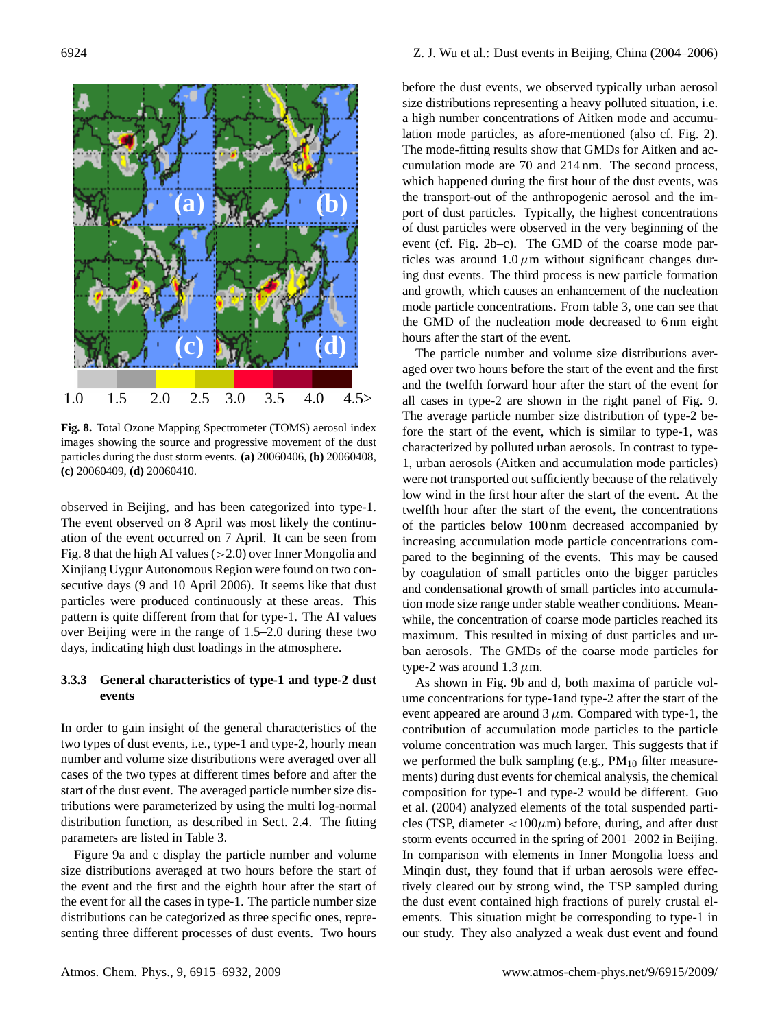

**Fig. 8.** Total Ozone Mapping Spectrometer (TOMS) aerosol index images showing the source and progressive movement of the dust particles during the dust storm events. **(a)** 20060406, **(b)** 20060408, **(c)** 20060409, **(d)** 20060410.

observed in Beijing, and has been categorized into type-1. The event observed on 8 April was most likely the continuation of the event occurred on 7 April. It can be seen from Fig. 8 that the high AI values  $(>2.0)$  over Inner Mongolia and Xinjiang Uygur Autonomous Region were found on two consecutive days (9 and 10 April 2006). It seems like that dust particles were produced continuously at these areas. This pattern is quite different from that for type-1. The AI values over Beijing were in the range of 1.5–2.0 during these two days, indicating high dust loadings in the atmosphere.

# **3.3.3 General characteristics of type-1 and type-2 dust events**

In order to gain insight of the general characteristics of the two types of dust events, i.e., type-1 and type-2, hourly mean number and volume size distributions were averaged over all cases of the two types at different times before and after the start of the dust event. The averaged particle number size distributions were parameterized by using the multi log-normal distribution function, as described in Sect. 2.4. The fitting parameters are listed in Table 3.

Figure 9a and c display the particle number and volume size distributions averaged at two hours before the start of the event and the first and the eighth hour after the start of the event for all the cases in type-1. The particle number size distributions can be categorized as three specific ones, representing three different processes of dust events. Two hours

before the dust events, we observed typically urban aerosol size distributions representing a heavy polluted situation, i.e. a high number concentrations of Aitken mode and accumulation mode particles, as afore-mentioned (also cf. Fig. 2). The mode-fitting results show that GMDs for Aitken and accumulation mode are 70 and 214 nm. The second process, which happened during the first hour of the dust events, was the transport-out of the anthropogenic aerosol and the import of dust particles. Typically, the highest concentrations of dust particles were observed in the very beginning of the event (cf. Fig. 2b–c). The GMD of the coarse mode particles was around  $1.0 \mu m$  without significant changes during dust events. The third process is new particle formation and growth, which causes an enhancement of the nucleation mode particle concentrations. From table 3, one can see that the GMD of the nucleation mode decreased to 6 nm eight hours after the start of the event.

The particle number and volume size distributions averaged over two hours before the start of the event and the first and the twelfth forward hour after the start of the event for all cases in type-2 are shown in the right panel of Fig. 9. The average particle number size distribution of type-2 before the start of the event, which is similar to type-1, was characterized by polluted urban aerosols. In contrast to type-1, urban aerosols (Aitken and accumulation mode particles) were not transported out sufficiently because of the relatively low wind in the first hour after the start of the event. At the twelfth hour after the start of the event, the concentrations of the particles below 100 nm decreased accompanied by increasing accumulation mode particle concentrations compared to the beginning of the events. This may be caused by coagulation of small particles onto the bigger particles and condensational growth of small particles into accumulation mode size range under stable weather conditions. Meanwhile, the concentration of coarse mode particles reached its maximum. This resulted in mixing of dust particles and urban aerosols. The GMDs of the coarse mode particles for type-2 was around  $1.3 \mu$ m.

As shown in Fig. 9b and d, both maxima of particle volume concentrations for type-1and type-2 after the start of the event appeared are around  $3 \mu$ m. Compared with type-1, the contribution of accumulation mode particles to the particle volume concentration was much larger. This suggests that if we performed the bulk sampling (e.g.,  $PM_{10}$  filter measurements) during dust events for chemical analysis, the chemical composition for type-1 and type-2 would be different. Guo et al. (2004) analyzed elements of the total suspended particles (TSP, diameter  $\langle 100 \mu m \rangle$  before, during, and after dust storm events occurred in the spring of 2001–2002 in Beijing. In comparison with elements in Inner Mongolia loess and Minqin dust, they found that if urban aerosols were effectively cleared out by strong wind, the TSP sampled during the dust event contained high fractions of purely crustal elements. This situation might be corresponding to type-1 in our study. They also analyzed a weak dust event and found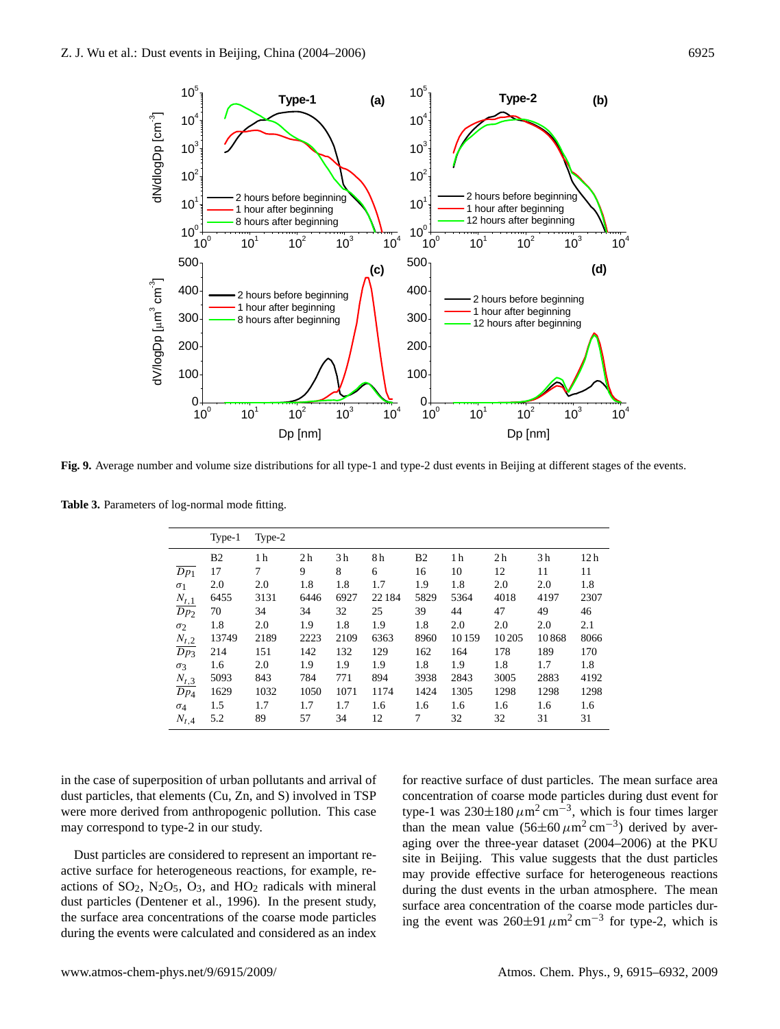

Fig. 9. Average number and volume size distributions for all type-1 and type-2 dust events in Beijing at different stages of the events.

Table 3. Parameters of log-normal mode fitting.

|                        | Type-1         | Type-2         |                |                |        |                |                |                |                |                 |
|------------------------|----------------|----------------|----------------|----------------|--------|----------------|----------------|----------------|----------------|-----------------|
|                        | B <sub>2</sub> | 1 <sub>h</sub> | 2 <sub>h</sub> | 3 <sub>h</sub> | 8h     | B <sub>2</sub> | 1 <sub>h</sub> | 2 <sub>h</sub> | 3 <sub>h</sub> | 12 <sub>h</sub> |
| $\overline{Dp_1}$      | 17             | 7              | 9              | 8              | 6      | 16             | 10             | 12             | 11             | 11              |
| $\sigma_1$             | 2.0            | 2.0            | 1.8            | 1.8            | 1.7    | 1.9            | 1.8            | 2.0            | 2.0            | 1.8             |
|                        | 6455           | 3131           | 6446           | 6927           | 22 184 | 5829           | 5364           | 4018           | 4197           | 2307            |
| $\frac{N_{t,1}}{Dp_2}$ | 70             | 34             | 34             | 32             | 25     | 39             | 44             | 47             | 49             | 46              |
| $\sigma_2$             | 1.8            | 2.0            | 1.9            | 1.8            | 1.9    | 1.8            | 2.0            | 2.0            | 2.0            | 2.1             |
| $N_{t,2}$              | 13749          | 2189           | 2223           | 2109           | 6363   | 8960           | 10159          | 10 20 5        | 10868          | 8066            |
| $\overline{Dp_3}$      | 214            | 151            | 142            | 132            | 129    | 162            | 164            | 178            | 189            | 170             |
| $\sigma_3$             | 1.6            | 2.0            | 1.9            | 1.9            | 1.9    | 1.8            | 1.9            | 1.8            | 1.7            | 1.8             |
| $N_{t,3}$              | 5093           | 843            | 784            | 771            | 894    | 3938           | 2843           | 3005           | 2883           | 4192            |
| $\overline{Dp_4}$      | 1629           | 1032           | 1050           | 1071           | 1174   | 1424           | 1305           | 1298           | 1298           | 1298            |
| $\sigma_4$             | 1.5            | 1.7            | 1.7            | 1.7            | 1.6    | 1.6            | 1.6            | 1.6            | 1.6            | 1.6             |
| $N_{t,4}$              | 5.2            | 89             | 57             | 34             | 12     | 7              | 32             | 32             | 31             | 31              |

in the case of superposition of urban pollutants and arrival of dust particles, that elements (Cu, Zn, and S) involved in TSP were more derived from anthropogenic pollution. This case may correspond to type-2 in our study.

Dust particles are considered to represent an important reactive surface for heterogeneous reactions, for example, reactions of  $SO_2$ ,  $N_2O_5$ ,  $O_3$ , and  $HO_2$  radicals with mineral dust particles (Dentener et al., 1996). In the present study, the surface area concentrations of the coarse mode particles during the events were calculated and considered as an index

for reactive surface of dust particles. The mean surface area<br>concentration of coarse mode particles during dust event for for reactive surface of dust particles. The mean surface area type-1 was  $230 \pm 180 \,\mu m^2 \text{ cm}^{-3}$ , which is four times larger than the mean value  $(56\pm60 \,\mu m^2 \text{ cm}^{-3})$  derived by averaging over the three-year dataset (2004–2006) at the PKU site in Beijing. This value suggests that the dust particles may provide effective surface for heterogeneous reactions during the dust events in the urban atmosphere. The mean surface area concentration of the coarse mode particles during the event was  $260\pm91 \mu m^2 cm^{-3}$  for type-2, which is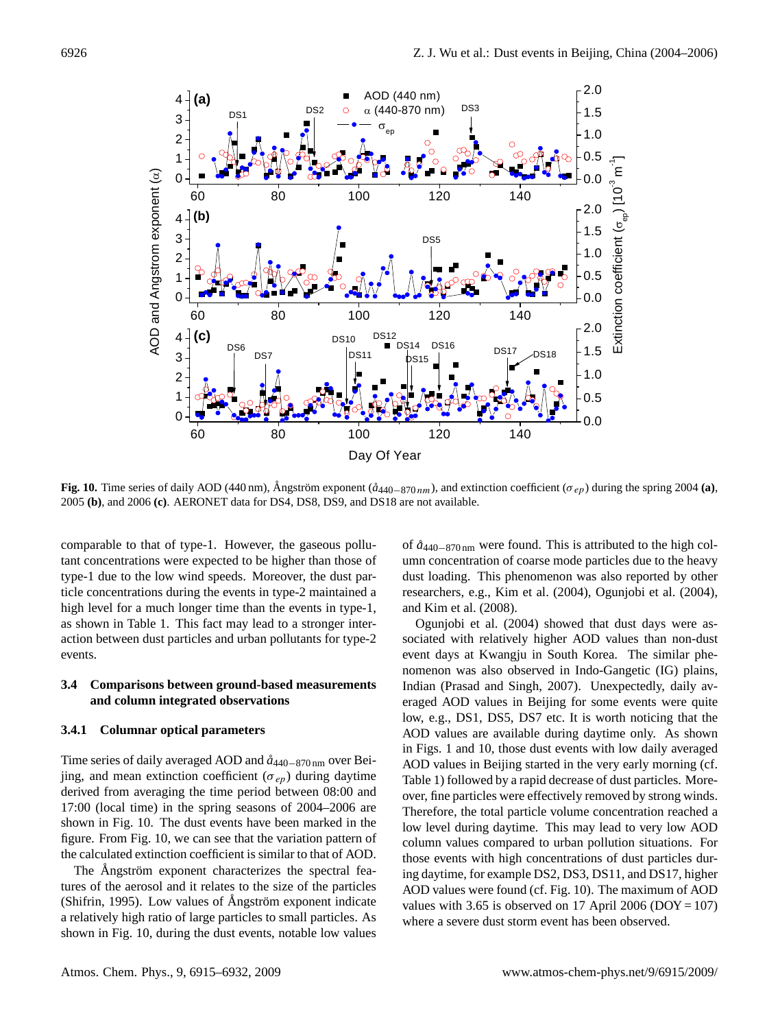

**Fig. 10.** Time series of daily AOD (440 nm), Ångström exponent ( $\hat{a}_{440-870 \, nm}$ ), and extinction coefficient ( $\sigma_{ep}$ ) during the spring 2004 (a), 2005 **(b)**, and 2006 **(c)**. AERONET data for DS4, DS8, DS9, and DS18 are not available.

 $\frac{1}{100}$  do the formulations were expected to be higher than those of umn concentration of coars type-1 due to the low wind speeds. Moreover, the dust parhigh level for a much longer time than the events in type-1, as shown in Table 1. This fact hay lead to a shortger interaction between dust particles and urban pollutants for type-2 events. comparable to that of type-1. However, the gaseous polluticle concentrations during the events in type-2 maintained a as shown in Table 1. This fact may lead to a stronger inter-

## 3.4 Comparisons between ground-based measurements  $\overline{a}$ **and column integrated observations**

#### **3.4.1 Columnar optical parameters**

Time series of daily averaged AOD and *a˚*440−870 nm over Beijing, and mean extinction coefficient ( $\sigma_{ep}$ ) during daytime derived from averaging the time period between 08:00 and 17:00 (local time) in the spring seasons of 2004–2006 are shown in Fig. 10. The dust events have been marked in the figure. From Fig. 10, we can see that the variation pattern of the calculated extinction coefficient is similar to that of AOD.

The Angström exponent characterizes the spectral features of the aerosol and it relates to the size of the particles (Shifrin, 1995). Low values of Ångström exponent indicate a relatively high ratio of large particles to small particles. As shown in Fig. 10, during the dust events, notable low values of *a˚*440−870 nm were found. This is attributed to the high column concentration of coarse mode particles due to the heavy dust loading. This phenomenon was also reported by other researchers, e.g., Kim et al. (2004), Ogunjobi et al. (2004), and Kim et al. (2008).

42 AOD values in Beijing started in the very early morning (cf. Ogunjobi et al. (2004) showed that dust days were associated with relatively higher AOD values than non-dust event days at Kwangju in South Korea. The similar phenomenon was also observed in Indo-Gangetic (IG) plains, Indian (Prasad and Singh, 2007). Unexpectedly, daily averaged AOD values in Beijing for some events were quite low, e.g., DS1, DS5, DS7 etc. It is worth noticing that the AOD values are available during daytime only. As shown in Figs. 1 and 10, those dust events with low daily averaged Table 1) followed by a rapid decrease of dust particles. Moreover, fine particles were effectively removed by strong winds. Therefore, the total particle volume concentration reached a low level during daytime. This may lead to very low AOD column values compared to urban pollution situations. For those events with high concentrations of dust particles during daytime, for example DS2, DS3, DS11, and DS17, higher AOD values were found (cf. Fig. 10). The maximum of AOD values with 3.65 is observed on 17 April 2006 ( $DOY = 107$ ) where a severe dust storm event has been observed.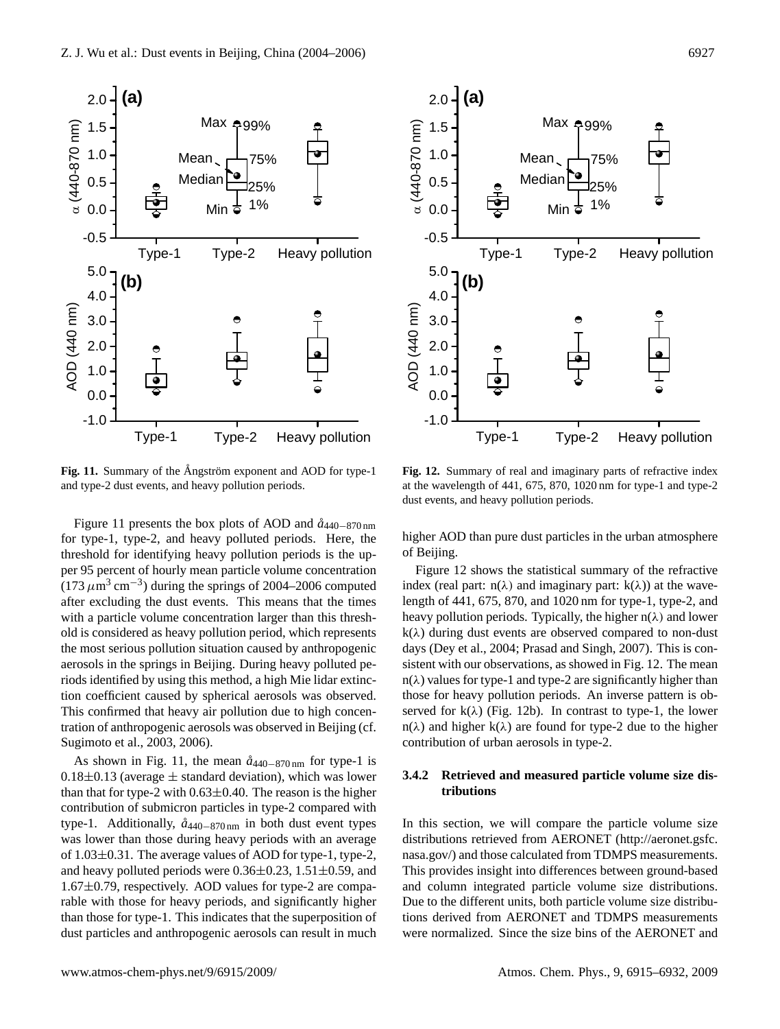



1138 Figure 11: Summary of the Angström exponent and AOD for type-1 and AOD for type-1 and type-2 dust events, and heavy pollution periods. Fig. 11. Summary of the Ångström exponent and AOD for type-1

Figure 11 presents the box plots of AOD and *a˚*440−870 nm for type-1, type-2, and heavy polluted periods. Here, the threshold for identifying heavy pollution periods is the upper 95 percent of hourly mean particle volume concentration  $(173 \mu m^3 \text{ cm}^{-3})$  during the springs of 2004–2006 computed<br>often avaliding the dust system. This masne that the times after excluding the dust events. This means that the times with a particle volume concentration larger than this threshold is considered as heavy pollution period, which represents the most serious pollution situation caused by anthropogenic aerosols in the springs in Beijing. During heavy polluted periods identified by using this method, a high Mie lidar extinction coefficient caused by spherical aerosols was observed. from coefficient caused by spherical aerosofs was observed.<br>This confirmed that heavy air pollution due to high concentration of anthropogenic aerosols was observed in Beijing (cf. Sugimoto et al., 2003, 2006).

As shown in Fig. 11, the mean  $\hat{a}_{440-870 \text{ nm}}$  for type-1 is  $0.18\pm0.13$  (average  $\pm$  standard deviation), which was lower than that for type-2 with  $0.63\pm0.40$ . The reason is the higher contribution of submicron particles in type-2 compared with type-1. Additionally, *a˚*440−870 nm in both dust event types was lower than those during heavy periods with an average of 1.03±0.31. The average values of AOD for type-1, type-2, and heavy polluted periods were  $0.36\pm0.23$ ,  $1.51\pm0.59$ , and 1.67±0.79, respectively. AOD values for type-2 are comparable with those for heavy periods, and significantly higher than those for type-1. This indicates that the superposition of dust particles and anthropogenic aerosols can result in much

 $\frac{1}{2}$  Figure 11: Summary of the Angles and Angles  $\frac{1}{2}$  from the angles  $\frac{1}{2}$  from  $\frac{1}{2}$  and type-2 and type-2 1139 events, and heavy **Fig. 12.** Summary of real and imaginary parts of refractive index dust events, and heavy pollution periods.

higher AOD than pure dust particles in the urban atmosphere of Beijing.

Figure 12 shows the statistical summary of the refractive index (real part:  $n(\lambda)$  and imaginary part:  $k(\lambda)$ ) at the wavelength of 441, 675, 870, and 1020 nm for type-1, type-2, and heavy pollution periods. Typically, the higher  $n(\lambda)$  and lower  $k(\lambda)$  during dust events are observed compared to non-dust days (Dey et al., 2004; Prasad and Singh, 2007). This is consistent with our observations, as showed in Fig. 12. The mean  $n(\lambda)$  values for type-1 and type-2 are significantly higher than those for heavy pollution periods. An inverse pattern is observed for  $k(\lambda)$  (Fig. 12b). In contrast to type-1, the lower  $n(\lambda)$  and higher  $k(\lambda)$  are found for type-2 due to the higher contribution of urban aerosols in type-2.

## **3.4.2 Retrieved and measured particle volume size distributions**

distributions retrieved from AERONET [\(http://aeronet.gsfc.](http://aeronet.gsfc.nasa.gov/) In this section, we will compare the particle volume size [nasa.gov/\)](http://aeronet.gsfc.nasa.gov/) and those calculated from TDMPS measurements. This provides insight into differences between ground-based and column integrated particle volume size distributions. Due to the different units, both particle volume size distributions derived from AERONET and TDMPS measurements were normalized. Since the size bins of the AERONET and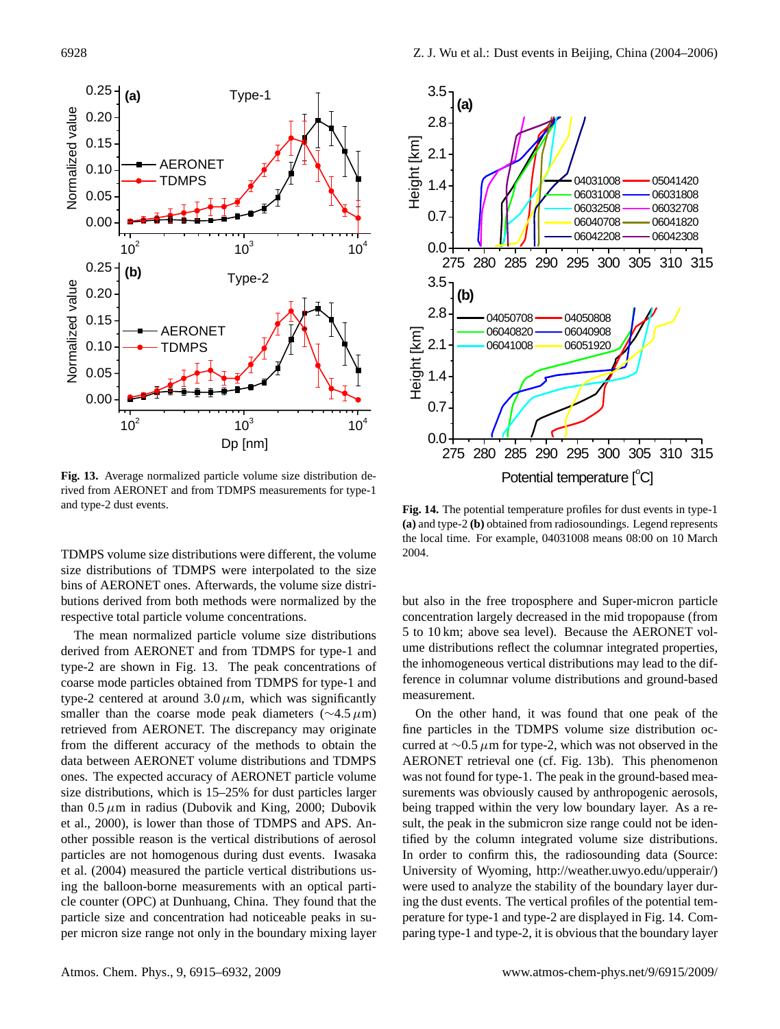

rived from AERONET and from TDMPS measurements for type-1<br>and type-2 dust events.  $17171 \text{ Fig. 14}$ **Fig. 13.** Average normalized particle volume size distribution deand type-2 dust events.

size distributions of TDMPS were interpolated to the size size distributions of TDMPS were interpolated to the size<br>bins of AERONET ones. Afterwards, the volume size distributions derived from both methods were normalized by the butions derived from both methods were norm-<br>respective total particle volume concentrations.

The mean normalized particle volume size distributions derived from AERONET and from TDMPS for type-1 and type-2 are shown in Fig.  $13$ . The peak concentrations of coarse mode particles obtained from TDMPS for type-1 and type-2 centered at around  $3.0 \mu$ m, which was significantly smaller than the coarse mode peak diameters ( $\sim$ 4.5µm) smaller than the coarse mode peak diameters  $(\sim 4.5 \mu m)$ <br>retrieved from AERONET. The discrepancy may originate from the different accuracy of the methods to obtain the data between AERONET volume distributions and TDMPS ones. The expected accuracy of AERONET particle volume size distributions, which is 15–25% for dust particles larger than  $0.5 \mu m$  in radius (Dubovik and King, 2000; Dubovik et al., 2000), is lower than those of TDMPS and APS. Another possible reason is the vertical distributions of aerosol particles are not homogenous during dust events. Iwasaka et al. (2004) measured the particle vertical distributions using the balloon-borne measurements with an optical particle counter (OPC) at Dunhuang, China. They found that the particle size and concentration had noticeable peaks in super micron size range not only in the boundary mixing layer



TDMPS volume size distributions were different, the volume  $2004$ . (a) and type-2 (b) obtained from radiosoundings. Legend represents **Fig. 14.** The potential temperature profiles for dust events in type-1 the local time. For example, 04031008 means 08:00 on 10 March 2004.

but also in the free troposphere and Super-micron particle concentration largely decreased in the mid tropopause (from 5 to 10 km; above sea level). Because the AERONET volume distributions reflect the columnar integrated properties, the inhomogeneous vertical distributions may lead to the difference in columnar volume distributions and ground-based measurement.

In order to commit this, the radiosounding data (source.<br>University of Wyoming, [http://weather.uwyo.edu/upperair/\)](http://weather.uwyo.edu/upperair/) On the other hand, it was found that one peak of the fine particles in the TDMPS volume size distribution occurred at  $\sim$ 0.5 µm for type-2, which was not observed in the AERONET retrieval one (cf. Fig. 13b). This phenomenon was not found for type-1. The peak in the ground-based measurements was obviously caused by anthropogenic aerosols, being trapped within the very low boundary layer. As a result, the peak in the submicron size range could not be identified by the column integrated volume size distributions. In order to confirm this, the radiosounding data (Source: were used to analyze the stability of the boundary layer during the dust events. The vertical profiles of the potential temperature for type-1 and type-2 are displayed in Fig. 14. Comparing type-1 and type-2, it is obvious that the boundary layer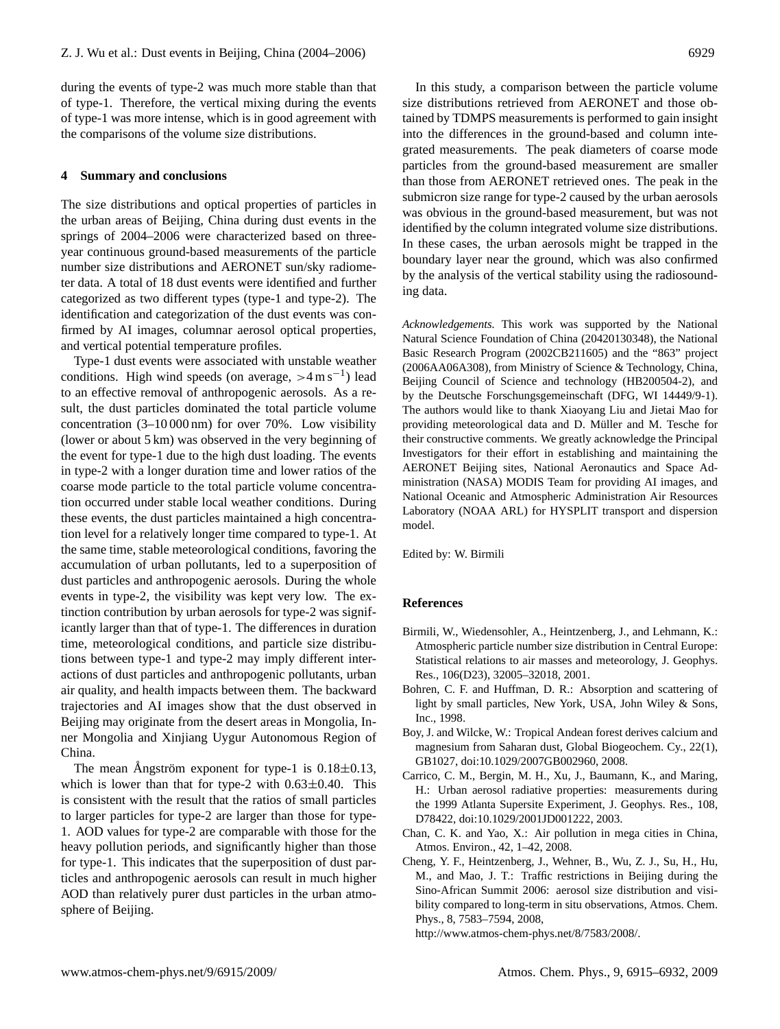during the events of type-2 was much more stable than that of type-1. Therefore, the vertical mixing during the events of type-1 was more intense, which is in good agreement with the comparisons of the volume size distributions.

## **4 Summary and conclusions**

The size distributions and optical properties of particles in the urban areas of Beijing, China during dust events in the springs of 2004–2006 were characterized based on threeyear continuous ground-based measurements of the particle number size distributions and AERONET sun/sky radiometer data. A total of 18 dust events were identified and further categorized as two different types (type-1 and type-2). The identification and categorization of the dust events was confirmed by AI images, columnar aerosol optical properties, and vertical potential temperature profiles.

Type-1 dust events were associated with unstable weather conditions. High wind speeds (on average,  $>4 \text{ m s}^{-1}$ ) lead to an effective removal of anthropogenic aerosols. As a result, the dust particles dominated the total particle volume concentration (3–10 000 nm) for over 70%. Low visibility (lower or about 5 km) was observed in the very beginning of the event for type-1 due to the high dust loading. The events in type-2 with a longer duration time and lower ratios of the coarse mode particle to the total particle volume concentration occurred under stable local weather conditions. During these events, the dust particles maintained a high concentration level for a relatively longer time compared to type-1. At the same time, stable meteorological conditions, favoring the accumulation of urban pollutants, led to a superposition of dust particles and anthropogenic aerosols. During the whole events in type-2, the visibility was kept very low. The extinction contribution by urban aerosols for type-2 was significantly larger than that of type-1. The differences in duration time, meteorological conditions, and particle size distributions between type-1 and type-2 may imply different interactions of dust particles and anthropogenic pollutants, urban air quality, and health impacts between them. The backward trajectories and AI images show that the dust observed in Beijing may originate from the desert areas in Mongolia, Inner Mongolia and Xinjiang Uygur Autonomous Region of China.

The mean Angström exponent for type-1 is  $0.18 \pm 0.13$ , which is lower than that for type-2 with  $0.63\pm0.40$ . This is consistent with the result that the ratios of small particles to larger particles for type-2 are larger than those for type-1. AOD values for type-2 are comparable with those for the heavy pollution periods, and significantly higher than those for type-1. This indicates that the superposition of dust particles and anthropogenic aerosols can result in much higher AOD than relatively purer dust particles in the urban atmosphere of Beijing.

In this study, a comparison between the particle volume size distributions retrieved from AERONET and those obtained by TDMPS measurements is performed to gain insight into the differences in the ground-based and column integrated measurements. The peak diameters of coarse mode particles from the ground-based measurement are smaller than those from AERONET retrieved ones. The peak in the submicron size range for type-2 caused by the urban aerosols was obvious in the ground-based measurement, but was not identified by the column integrated volume size distributions. In these cases, the urban aerosols might be trapped in the boundary layer near the ground, which was also confirmed by the analysis of the vertical stability using the radiosounding data.

*Acknowledgements.* This work was supported by the National Natural Science Foundation of China (20420130348), the National Basic Research Program (2002CB211605) and the "863" project (2006AA06A308), from Ministry of Science & Technology, China, Beijing Council of Science and technology (HB200504-2), and by the Deutsche Forschungsgemeinschaft (DFG, WI 14449/9-1). The authors would like to thank Xiaoyang Liu and Jietai Mao for providing meteorological data and D. Müller and M. Tesche for their constructive comments. We greatly acknowledge the Principal Investigators for their effort in establishing and maintaining the AERONET Beijing sites, National Aeronautics and Space Administration (NASA) MODIS Team for providing AI images, and National Oceanic and Atmospheric Administration Air Resources Laboratory (NOAA ARL) for HYSPLIT transport and dispersion model.

Edited by: W. Birmili

#### **References**

- Birmili, W., Wiedensohler, A., Heintzenberg, J., and Lehmann, K.: Atmospheric particle number size distribution in Central Europe: Statistical relations to air masses and meteorology, J. Geophys. Res., 106(D23), 32005–32018, 2001.
- Bohren, C. F. and Huffman, D. R.: Absorption and scattering of light by small particles, New York, USA, John Wiley & Sons, Inc., 1998.
- Boy, J. and Wilcke, W.: Tropical Andean forest derives calcium and magnesium from Saharan dust, Global Biogeochem. Cy., 22(1), GB1027, doi:10.1029/2007GB002960, 2008.
- Carrico, C. M., Bergin, M. H., Xu, J., Baumann, K., and Maring, H.: Urban aerosol radiative properties: measurements during the 1999 Atlanta Supersite Experiment, J. Geophys. Res., 108, D78422, doi:10.1029/2001JD001222, 2003.
- Chan, C. K. and Yao, X.: Air pollution in mega cities in China, Atmos. Environ., 42, 1–42, 2008.
- Cheng, Y. F., Heintzenberg, J., Wehner, B., Wu, Z. J., Su, H., Hu, M., and Mao, J. T.: Traffic restrictions in Beijing during the Sino-African Summit 2006: aerosol size distribution and visibility compared to long-term in situ observations, Atmos. Chem. Phys., 8, 7583–7594, 2008,

[http://www.atmos-chem-phys.net/8/7583/2008/.](http://www.atmos-chem-phys.net/8/7583/2008/)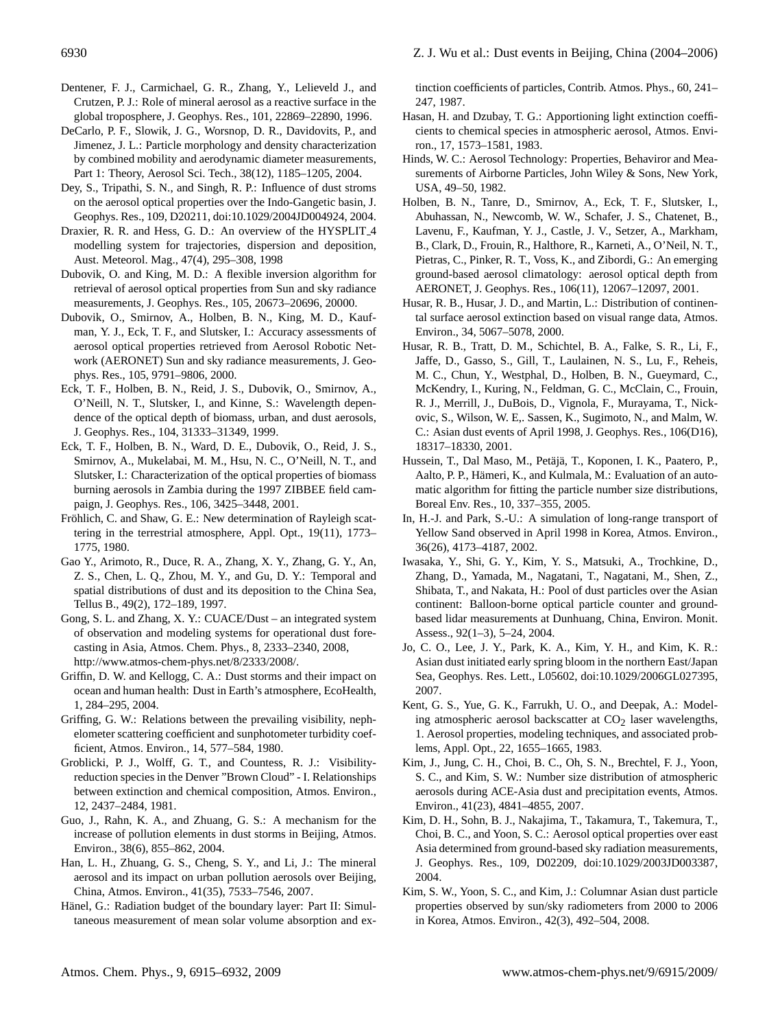- Dentener, F. J., Carmichael, G. R., Zhang, Y., Lelieveld J., and Crutzen, P. J.: Role of mineral aerosol as a reactive surface in the global troposphere, J. Geophys. Res., 101, 22869–22890, 1996.
- DeCarlo, P. F., Slowik, J. G., Worsnop, D. R., Davidovits, P., and Jimenez, J. L.: Particle morphology and density characterization by combined mobility and aerodynamic diameter measurements, Part 1: Theory, Aerosol Sci. Tech., 38(12), 1185–1205, 2004.
- Dey, S., Tripathi, S. N., and Singh, R. P.: Influence of dust stroms on the aerosol optical properties over the Indo-Gangetic basin, J. Geophys. Res., 109, D20211, doi:10.1029/2004JD004924, 2004.
- Draxier, R. R. and Hess, G. D.: An overview of the HYSPLIT<sub>-4</sub> modelling system for trajectories, dispersion and deposition, Aust. Meteorol. Mag., 47(4), 295–308, 1998
- Dubovik, O. and King, M. D.: A flexible inversion algorithm for retrieval of aerosol optical properties from Sun and sky radiance measurements, J. Geophys. Res., 105, 20673–20696, 20000.
- Dubovik, O., Smirnov, A., Holben, B. N., King, M. D., Kaufman, Y. J., Eck, T. F., and Slutsker, I.: Accuracy assessments of aerosol optical properties retrieved from Aerosol Robotic Network (AERONET) Sun and sky radiance measurements, J. Geophys. Res., 105, 9791–9806, 2000.
- Eck, T. F., Holben, B. N., Reid, J. S., Dubovik, O., Smirnov, A., O'Neill, N. T., Slutsker, I., and Kinne, S.: Wavelength dependence of the optical depth of biomass, urban, and dust aerosols, J. Geophys. Res., 104, 31333–31349, 1999.
- Eck, T. F., Holben, B. N., Ward, D. E., Dubovik, O., Reid, J. S., Smirnov, A., Mukelabai, M. M., Hsu, N. C., O'Neill, N. T., and Slutsker, I.: Characterization of the optical properties of biomass burning aerosols in Zambia during the 1997 ZIBBEE field campaign, J. Geophys. Res., 106, 3425–3448, 2001.
- Fröhlich, C. and Shaw, G. E.: New determination of Rayleigh scattering in the terrestrial atmosphere, Appl. Opt., 19(11), 1773– 1775, 1980.
- Gao Y., Arimoto, R., Duce, R. A., Zhang, X. Y., Zhang, G. Y., An, Z. S., Chen, L. Q., Zhou, M. Y., and Gu, D. Y.: Temporal and spatial distributions of dust and its deposition to the China Sea, Tellus B., 49(2), 172–189, 1997.
- Gong, S. L. and Zhang, X. Y.: CUACE/Dust an integrated system of observation and modeling systems for operational dust forecasting in Asia, Atmos. Chem. Phys., 8, 2333–2340, 2008, [http://www.atmos-chem-phys.net/8/2333/2008/.](http://www.atmos-chem-phys.net/8/2333/2008/)
- Griffin, D. W. and Kellogg, C. A.: Dust storms and their impact on ocean and human health: Dust in Earth's atmosphere, EcoHealth, 1, 284–295, 2004.
- Griffing, G. W.: Relations between the prevailing visibility, nephelometer scattering coefficient and sunphotometer turbidity coefficient, Atmos. Environ., 14, 577–584, 1980.
- Groblicki, P. J., Wolff, G. T., and Countess, R. J.: Visibilityreduction species in the Denver "Brown Cloud" - I. Relationships between extinction and chemical composition, Atmos. Environ., 12, 2437–2484, 1981.
- Guo, J., Rahn, K. A., and Zhuang, G. S.: A mechanism for the increase of pollution elements in dust storms in Beijing, Atmos. Environ., 38(6), 855–862, 2004.
- Han, L. H., Zhuang, G. S., Cheng, S. Y., and Li, J.: The mineral aerosol and its impact on urban pollution aerosols over Beijing, China, Atmos. Environ., 41(35), 7533–7546, 2007.
- Hänel, G.: Radiation budget of the boundary layer: Part II: Simultaneous measurement of mean solar volume absorption and ex-

tinction coefficients of particles, Contrib. Atmos. Phys., 60, 241– 247, 1987.

- Hasan, H. and Dzubay, T. G.: Apportioning light extinction coefficients to chemical species in atmospheric aerosol, Atmos. Environ., 17, 1573–1581, 1983.
- Hinds, W. C.: Aerosol Technology: Properties, Behaviror and Measurements of Airborne Particles, John Wiley & Sons, New York, USA, 49–50, 1982.
- Holben, B. N., Tanre, D., Smirnov, A., Eck, T. F., Slutsker, I., Abuhassan, N., Newcomb, W. W., Schafer, J. S., Chatenet, B., Lavenu, F., Kaufman, Y. J., Castle, J. V., Setzer, A., Markham, B., Clark, D., Frouin, R., Halthore, R., Karneti, A., O'Neil, N. T., Pietras, C., Pinker, R. T., Voss, K., and Zibordi, G.: An emerging ground-based aerosol climatology: aerosol optical depth from AERONET, J. Geophys. Res., 106(11), 12067–12097, 2001.
- Husar, R. B., Husar, J. D., and Martin, L.: Distribution of continental surface aerosol extinction based on visual range data, Atmos. Environ., 34, 5067–5078, 2000.
- Husar, R. B., Tratt, D. M., Schichtel, B. A., Falke, S. R., Li, F., Jaffe, D., Gasso, S., Gill, T., Laulainen, N. S., Lu, F., Reheis, M. C., Chun, Y., Westphal, D., Holben, B. N., Gueymard, C., McKendry, I., Kuring, N., Feldman, G. C., McClain, C., Frouin, R. J., Merrill, J., DuBois, D., Vignola, F., Murayama, T., Nickovic, S., Wilson, W. E,. Sassen, K., Sugimoto, N., and Malm, W. C.: Asian dust events of April 1998, J. Geophys. Res., 106(D16), 18317–18330, 2001.
- Hussein, T., Dal Maso, M., Petäjä, T., Koponen, I. K., Paatero, P., Aalto, P. P., Hämeri, K., and Kulmala, M.: Evaluation of an automatic algorithm for fitting the particle number size distributions, Boreal Env. Res., 10, 337–355, 2005.
- In, H.-J. and Park, S.-U.: A simulation of long-range transport of Yellow Sand observed in April 1998 in Korea, Atmos. Environ., 36(26), 4173–4187, 2002.
- Iwasaka, Y., Shi, G. Y., Kim, Y. S., Matsuki, A., Trochkine, D., Zhang, D., Yamada, M., Nagatani, T., Nagatani, M., Shen, Z., Shibata, T., and Nakata, H.: Pool of dust particles over the Asian continent: Balloon-borne optical particle counter and groundbased lidar measurements at Dunhuang, China, Environ. Monit. Assess., 92(1–3), 5–24, 2004.
- Jo, C. O., Lee, J. Y., Park, K. A., Kim, Y. H., and Kim, K. R.: Asian dust initiated early spring bloom in the northern East/Japan Sea, Geophys. Res. Lett., L05602, doi:10.1029/2006GL027395, 2007.
- Kent, G. S., Yue, G. K., Farrukh, U. O., and Deepak, A.: Modeling atmospheric aerosol backscatter at  $CO<sub>2</sub>$  laser wavelengths, 1. Aerosol properties, modeling techniques, and associated problems, Appl. Opt., 22, 1655–1665, 1983.
- Kim, J., Jung, C. H., Choi, B. C., Oh, S. N., Brechtel, F. J., Yoon, S. C., and Kim, S. W.: Number size distribution of atmospheric aerosols during ACE-Asia dust and precipitation events, Atmos. Environ., 41(23), 4841–4855, 2007.
- Kim, D. H., Sohn, B. J., Nakajima, T., Takamura, T., Takemura, T., Choi, B. C., and Yoon, S. C.: Aerosol optical properties over east Asia determined from ground-based sky radiation measurements, J. Geophys. Res., 109, D02209, doi:10.1029/2003JD003387, 2004.
- Kim, S. W., Yoon, S. C., and Kim, J.: Columnar Asian dust particle properties observed by sun/sky radiometers from 2000 to 2006 in Korea, Atmos. Environ., 42(3), 492–504, 2008.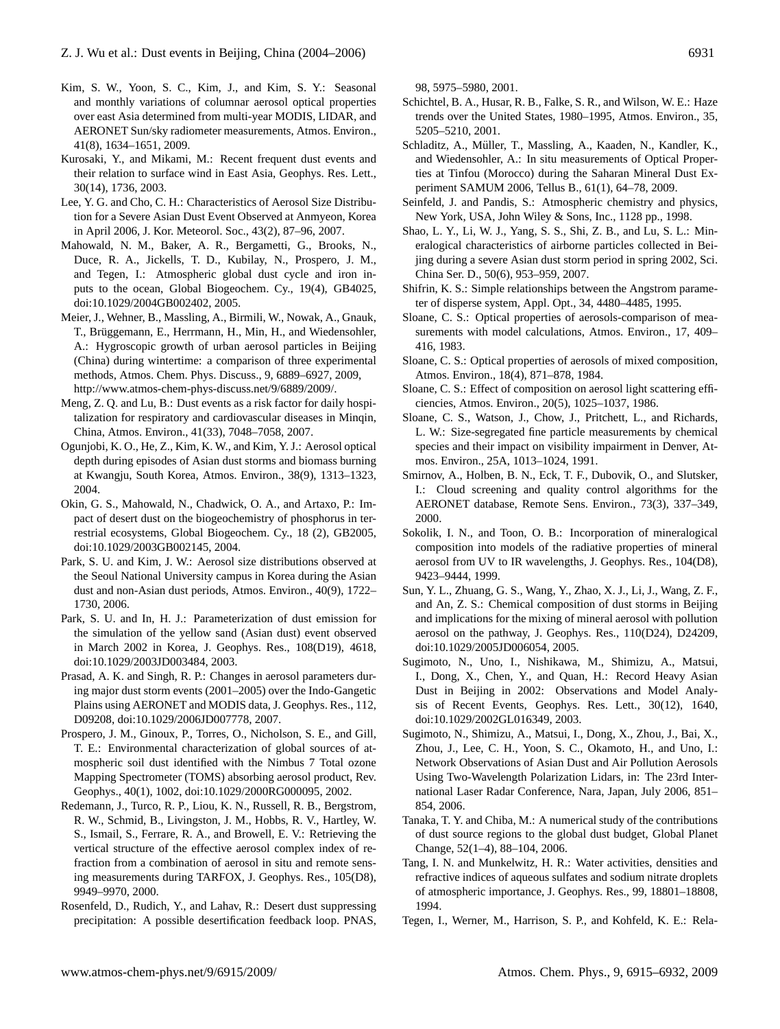- Kim, S. W., Yoon, S. C., Kim, J., and Kim, S. Y.: Seasonal and monthly variations of columnar aerosol optical properties over east Asia determined from multi-year MODIS, LIDAR, and AERONET Sun/sky radiometer measurements, Atmos. Environ., 41(8), 1634–1651, 2009.
- Kurosaki, Y., and Mikami, M.: Recent frequent dust events and their relation to surface wind in East Asia, Geophys. Res. Lett., 30(14), 1736, 2003.
- Lee, Y. G. and Cho, C. H.: Characteristics of Aerosol Size Distribution for a Severe Asian Dust Event Observed at Anmyeon, Korea in April 2006, J. Kor. Meteorol. Soc., 43(2), 87–96, 2007.
- Mahowald, N. M., Baker, A. R., Bergametti, G., Brooks, N., Duce, R. A., Jickells, T. D., Kubilay, N., Prospero, J. M., and Tegen, I.: Atmospheric global dust cycle and iron inputs to the ocean, Global Biogeochem. Cy., 19(4), GB4025, doi:10.1029/2004GB002402, 2005.
- Meier, J., Wehner, B., Massling, A., Birmili, W., Nowak, A., Gnauk, T., Brüggemann, E., Herrmann, H., Min, H., and Wiedensohler, A.: Hygroscopic growth of urban aerosol particles in Beijing (China) during wintertime: a comparison of three experimental methods, Atmos. Chem. Phys. Discuss., 9, 6889–6927, 2009, [http://www.atmos-chem-phys-discuss.net/9/6889/2009/.](http://www.atmos-chem-phys-discuss.net/9/6889/2009/)
- Meng, Z. Q. and Lu, B.: Dust events as a risk factor for daily hospitalization for respiratory and cardiovascular diseases in Minqin, China, Atmos. Environ., 41(33), 7048–7058, 2007.
- Ogunjobi, K. O., He, Z., Kim, K. W., and Kim, Y. J.: Aerosol optical depth during episodes of Asian dust storms and biomass burning at Kwangju, South Korea, Atmos. Environ., 38(9), 1313–1323, 2004.
- Okin, G. S., Mahowald, N., Chadwick, O. A., and Artaxo, P.: Impact of desert dust on the biogeochemistry of phosphorus in terrestrial ecosystems, Global Biogeochem. Cy., 18 (2), GB2005, doi:10.1029/2003GB002145, 2004.
- Park, S. U. and Kim, J. W.: Aerosol size distributions observed at the Seoul National University campus in Korea during the Asian dust and non-Asian dust periods, Atmos. Environ., 40(9), 1722– 1730, 2006.
- Park, S. U. and In, H. J.: Parameterization of dust emission for the simulation of the yellow sand (Asian dust) event observed in March 2002 in Korea, J. Geophys. Res., 108(D19), 4618, doi:10.1029/2003JD003484, 2003.
- Prasad, A. K. and Singh, R. P.: Changes in aerosol parameters during major dust storm events (2001–2005) over the Indo-Gangetic Plains using AERONET and MODIS data, J. Geophys. Res., 112, D09208, doi:10.1029/2006JD007778, 2007.
- Prospero, J. M., Ginoux, P., Torres, O., Nicholson, S. E., and Gill, T. E.: Environmental characterization of global sources of atmospheric soil dust identified with the Nimbus 7 Total ozone Mapping Spectrometer (TOMS) absorbing aerosol product, Rev. Geophys., 40(1), 1002, doi:10.1029/2000RG000095, 2002.
- Redemann, J., Turco, R. P., Liou, K. N., Russell, R. B., Bergstrom, R. W., Schmid, B., Livingston, J. M., Hobbs, R. V., Hartley, W. S., Ismail, S., Ferrare, R. A., and Browell, E. V.: Retrieving the vertical structure of the effective aerosol complex index of refraction from a combination of aerosol in situ and remote sensing measurements during TARFOX, J. Geophys. Res., 105(D8), 9949–9970, 2000.
- Rosenfeld, D., Rudich, Y., and Lahav, R.: Desert dust suppressing precipitation: A possible desertification feedback loop. PNAS,

98, 5975–5980, 2001.

- Schichtel, B. A., Husar, R. B., Falke, S. R., and Wilson, W. E.: Haze trends over the United States, 1980–1995, Atmos. Environ., 35, 5205–5210, 2001.
- Schladitz, A., Müller, T., Massling, A., Kaaden, N., Kandler, K., and Wiedensohler, A.: In situ measurements of Optical Properties at Tinfou (Morocco) during the Saharan Mineral Dust Experiment SAMUM 2006, Tellus B., 61(1), 64–78, 2009.
- Seinfeld, J. and Pandis, S.: Atmospheric chemistry and physics, New York, USA, John Wiley & Sons, Inc., 1128 pp., 1998.
- Shao, L. Y., Li, W. J., Yang, S. S., Shi, Z. B., and Lu, S. L.: Mineralogical characteristics of airborne particles collected in Beijing during a severe Asian dust storm period in spring 2002, Sci. China Ser. D., 50(6), 953–959, 2007.
- Shifrin, K. S.: Simple relationships between the Angstrom parameter of disperse system, Appl. Opt., 34, 4480–4485, 1995.
- Sloane, C. S.: Optical properties of aerosols-comparison of measurements with model calculations, Atmos. Environ., 17, 409– 416, 1983.
- Sloane, C. S.: Optical properties of aerosols of mixed composition, Atmos. Environ., 18(4), 871–878, 1984.
- Sloane, C. S.: Effect of composition on aerosol light scattering efficiencies, Atmos. Environ., 20(5), 1025–1037, 1986.
- Sloane, C. S., Watson, J., Chow, J., Pritchett, L., and Richards, L. W.: Size-segregated fine particle measurements by chemical species and their impact on visibility impairment in Denver, Atmos. Environ., 25A, 1013–1024, 1991.
- Smirnov, A., Holben, B. N., Eck, T. F., Dubovik, O., and Slutsker, I.: Cloud screening and quality control algorithms for the AERONET database, Remote Sens. Environ., 73(3), 337–349, 2000.
- Sokolik, I. N., and Toon, O. B.: Incorporation of mineralogical composition into models of the radiative properties of mineral aerosol from UV to IR wavelengths, J. Geophys. Res., 104(D8), 9423–9444, 1999.
- Sun, Y. L., Zhuang, G. S., Wang, Y., Zhao, X. J., Li, J., Wang, Z. F., and An, Z. S.: Chemical composition of dust storms in Beijing and implications for the mixing of mineral aerosol with pollution aerosol on the pathway, J. Geophys. Res., 110(D24), D24209, doi:10.1029/2005JD006054, 2005.
- Sugimoto, N., Uno, I., Nishikawa, M., Shimizu, A., Matsui, I., Dong, X., Chen, Y., and Quan, H.: Record Heavy Asian Dust in Beijing in 2002: Observations and Model Analysis of Recent Events, Geophys. Res. Lett., 30(12), 1640, doi:10.1029/2002GL016349, 2003.
- Sugimoto, N., Shimizu, A., Matsui, I., Dong, X., Zhou, J., Bai, X., Zhou, J., Lee, C. H., Yoon, S. C., Okamoto, H., and Uno, I.: Network Observations of Asian Dust and Air Pollution Aerosols Using Two-Wavelength Polarization Lidars, in: The 23rd International Laser Radar Conference, Nara, Japan, July 2006, 851– 854, 2006.
- Tanaka, T. Y. and Chiba, M.: A numerical study of the contributions of dust source regions to the global dust budget, Global Planet Change, 52(1–4), 88–104, 2006.
- Tang, I. N. and Munkelwitz, H. R.: Water activities, densities and refractive indices of aqueous sulfates and sodium nitrate droplets of atmospheric importance, J. Geophys. Res., 99, 18801–18808, 1994.
- Tegen, I., Werner, M., Harrison, S. P., and Kohfeld, K. E.: Rela-